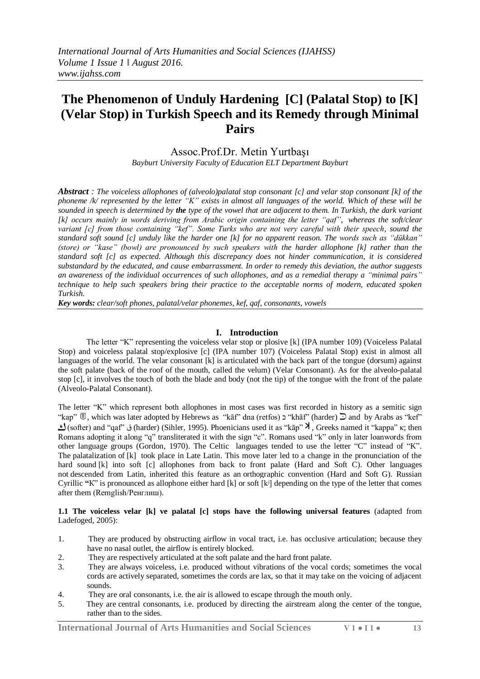# **The Phenomenon of Unduly Hardening [C] (Palatal Stop) to [K] (Velar Stop) in Turkish Speech and its Remedy through Minimal Pairs**

# Assoc.Prof.Dr. Metin Yurtbaşı

*Bayburt University Faculty of Education ELT Department Bayburt*

*Abstract : The voiceless allophones of (alveolo)palatal stop consonant [c] and velar stop consonant [k] of the phoneme /k/ represented by the letter "K" exists in almost all languages of the world. Which of these will be sounded in speech is determined by the type of the vowel that are adjacent to them. In Turkish, the dark variant [k] occurs mainly in words deriving from Arabic origin containing the letter "qaf", whereas the soft/clear variant [c] from those containing "kef". Some Turks who are not very careful with their speech, sound the standard soft sound [c] unduly like the harder one [k] for no apparent reason. The words such as "dükkan" (store) or "kase" (bowl) are pronounced by such speakers with the harder allophone [k] rather than the standard soft [c] as expected. Although this discrepancy does not hinder communication, it is considered substandard by the educated, and cause embarrassment. In order to remedy this deviation, the author suggests an awareness of the individual occurrences of such allophones, and as a remedial therapy a "minimal pairs" technique to help such speakers bring their practice to the acceptable norms of modern, educated spoken Turkish.*

*Key words: clear/soft phones, palatal/velar phonemes, kef, qaf, consonants, vowels*

## **I. Introduction**

The letter "K" representing the [voiceless velar stop or plosive](https://en.wikipedia.org/wiki/Voiceless_velar_plosive) [k] (IPA number 109) (Voiceless Palatal Stop) and voiceless palatal stop/explosive [c] (IPA number 107) (Voiceless Palatal Stop) exist in almost all languages of the world. The velar consonant [k] is articulated with the back part of the tongue (dorsum) against the soft palate (back of the roof of the mouth, called the velum) (Velar Consonant). As for the alveolo-palatal stop [c], it involves the touch of both the blade and body (not the tip) of the tongue with the front of the palate (Alveolo-Palatal Consonant).

The letter "K" which represent both allophones in most cases was first recorded in history as a semitic sign "kap"  $\mathbb{D}$ , which was later adopted by Hebrews as "kath" dna (retfos)  $\mathsf{D}$ " (harder)  $\mathbb{D}$  and by Arabs as "kef" )softer( and "qaf" ق) harder) (Sihler, 1995). Phoenicians used it as "kāp" , Greeks named it "kappa" κ; then Romans adopting it along "q" transliterated it with the sign "c". Romans used "k" only in later loanwords from other language groups (Gordon, 1970). The Celtic languages tended to use the letter "C" instead of "K". The [palatalization](https://en.wikipedia.org/wiki/Palatalization_(sound_change)) of [k] took place in [Late Latin.](https://en.wikipedia.org/wiki/Late_Latin) This move later led to a change in the pronunciation of the hard sound [k] into soft [c] allophones from back to front palate (Hard and Soft C). Other languages not [descended](https://en.wikipedia.org/wiki/Daughter_language) from Latin, inherited this feature as an [orthographic](https://en.wikipedia.org/wiki/Orthography) [convention](https://en.wikipedia.org/wiki/Convention_(norm)) (Hard and Soft G). Russian Cyrillic **"**К" is pronounced as allophone either hard [k] or soft [kʲ] depending on the type of the letter that comes after them (Remglish/Ренглиш).

**1.1 The voiceless velar [k] ve palatal [c] stops have the following universal features** (adapted from [Ladefoged, 2](https://en.wikipedia.org/wiki/Peter_Ladefoged)005):

- 1. They are [produced by obstructing airflow in vocal tract, i.e. has occlusive articulation;](https://en.wikipedia.org/wiki/Manner_of_articulation) because they have no nasal outlet, the airflow is entirely blocked.
- 2. They are respectively articulated at the soft palate and the hard front palate.
- 3. They are always voiceless, i.e. produced without vibrations of the vocal cords; sometimes the vocal cords are actively separated, sometimes the cords are lax, so that it may take on the voicing of adjacent sounds.
- 4. They are [oral consonants](https://en.wikipedia.org/wiki/Oral_consonant), i.e. the air is allowed to escape through the mouth only.
- 5. They are [central consonants](https://en.wikipedia.org/wiki/Central_consonant), i.e. produced by directing the airstream along the center of the tongue, rather than to the sides.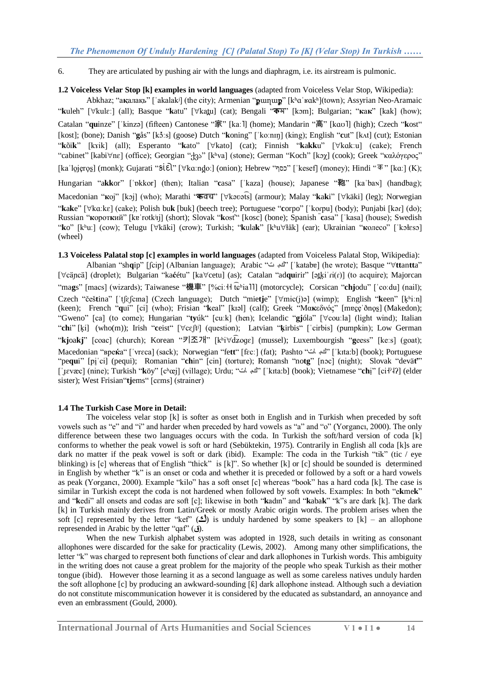6. They are articulated by pushing air with the lungs and diaphragm, i.e. its airstream is pulmonic.

**1.2 Voiceless Velar Stop [k] examples in world languages** (adapted from Voiceless Velar Stop, Wikipedia):

[Abkhaz;](https://en.wikipedia.org/wiki/Abkhaz_language) "ақ[алақь"](https://en.wikipedia.org/wiki/Abkhaz_alphabet) [ˈakalakʲ] (the city); [Armenian](https://en.wikipedia.org/wiki/Armenian_language) "**p**unµup" [kʰɑˈʁɑkʰ](town); [Assyrian Neo-Aramaic](https://en.wikipedia.org/wiki/Assyrian_Neo-Aramaic) "k[uleh"](https://en.wikipedia.org/wiki/Syriac_alphabet) [∀kulɛː] (all); [Basque](https://en.wikipedia.org/wiki/Basque_language) "k[atu"](https://en.wikipedia.org/wiki/Basque_alphabet) [∀kat̪u] (cat); [Bengali](https://en.wikipedia.org/wiki/Bengali_language) "[ক](https://en.wikipedia.org/wiki/Bengali_script)<sub></sub>ম" [kɔm]; [Bulgarian;](https://en.wikipedia.org/wiki/Bulgarian_language) "[к](https://en.wikipedia.org/wiki/Bulgarian_alphabet)ак" [kak] (how); [Catalan](https://en.wikipedia.org/wiki/Catalan_language) "**qu**[inze"](https://en.wikipedia.org/wiki/Catalan_orthography) [ˈkinzə] )fifteen( [Cantonese](https://en.wikipedia.org/wiki/Cantonese) "[家](https://en.wikipedia.org/wiki/Chinese_character)" [kaː˥] (home); [Mandarin](https://en.wikipedia.org/wiki/Standard_Chinese) "[高](https://en.wikipedia.org/wiki/Chinese_Characters)" [kɑʊ˥] (high); [Czech](https://en.wikipedia.org/wiki/Czech_language) "**k**[ost"](https://en.wikipedia.org/wiki/Czech_orthography) [kost]; (bone); [Danish](https://en.wikipedia.org/wiki/Danish_language) "**g**[ås"](https://en.wikipedia.org/wiki/Danish_alphabet) [kɔ̽ːs] (goose) [Dutch](https://en.wikipedia.org/wiki/Dutch_language) "**k**[oning"](https://en.wikipedia.org/wiki/Dutch_orthography) [ˈkoːnɪŋ] )king(; [English](https://en.wikipedia.org/wiki/English_language) "**c**[ut"](https://en.wikipedia.org/wiki/English_orthography) [kʌt] (cut); [Estonian](https://en.wikipedia.org/wiki/Estonian_Language) "k[õi](https://en.wikipedia.org/wiki/Estonian_alphabet)k" [kvik] (all); [Esperanto](https://en.wikipedia.org/wiki/Esperanto) "k[ato"](https://en.wikipedia.org/wiki/Latin_alphabet) [∀kato] (cat); [Finnish](https://en.wikipedia.org/wiki/Finnish_language) "ka[kk](https://en.wikipedia.org/wiki/Finnish_alphabet)u" [∀kɑkːu] (cake); [French](https://en.wikipedia.org/wiki/French_language) ["cabinet"](https://en.wikipedia.org/wiki/French_orthography) [kabi∀nɛ] (office); [Georgian](https://en.wikipedia.org/wiki/Georgian_language) "[ქვა](https://en.wikipedia.org/wiki/Georgian_alphabet)" [kʰva] (stone); [German](https://en.wikipedia.org/wiki/German_language) ["Koch"](https://en.wikipedia.org/wiki/German_orthography) [kɔχ] (cook); [Greek](https://en.wikipedia.org/wiki/Greek_language) ["καλόγερος"](https://en.wikipedia.org/wiki/Greek_alphabet) [kaˈloi̯eros] (monk); [Gujarati](https://en.wikipedia.org/wiki/Gujarati_language) "si ɛl͡ː" [∀kaːnd̪oː] (onion); [Hebrew](https://en.wikipedia.org/wiki/Hebrew_language) ["כסף](https://en.wikipedia.org/wiki/Hebrew_alphabet)["](https://en.wikipedia.org/wiki/Devan%C4%81gar%C4%AB) [ˈkesef] (money); [Hindi](https://en.wikipedia.org/wiki/Hindi) " $\bar{\Phi}$ " [kaː] (K); [Hungarian](https://en.wikipedia.org/wiki/Hungarian_language) "a[kk](https://en.wikipedia.org/wiki/Hungarian_orthography)or" [ˈɒkkor] (then); [Italian](https://en.wikipedia.org/wiki/Italian_language) "c[asa"](https://en.wikipedia.org/wiki/Italian_alphabet) [ˈkaza] (house); [Japanese](https://en.wikipedia.org/wiki/Japanese_language) "[鞄](https://en.wikipedia.org/wiki/Kanji)" [ka<sup>·</sup>ba<sub>N</sub>] (handbag); [Macedonian](https://en.wikipedia.org/wiki/Macedonian_language) "**к**[ој"](https://en.wikipedia.org/wiki/Macedonian_alphabet) [kɔj] )who(; [Marathi](https://en.wikipedia.org/wiki/Marathi_language) "**क**[वच](https://en.wikipedia.org/wiki/Devan%C4%81gar%C4%AB)" [kəʋə͡ts] (armour); [Malay](https://en.wikipedia.org/wiki/Malay_language) "**[k](https://en.wikipedia.org/wiki/Malay_alphabet)**a**k**i" [käki] (leg); [Norwegian](https://en.wikipedia.org/wiki/Norwegian_language) "kak[e"](https://en.wikipedia.org/wiki/Norwegian_alphabet) [ $\forall$ kɑːkɛ] (cake); [Polish](https://en.wikipedia.org/wiki/Polish_language) [bu](https://en.wikipedia.org/wiki/Polish_orthography)k [\[buk\]](https://upload.wikimedia.org/wikipedia/commons/6/6b/Pl-buk.ogg) (beech tree); [Portuguese](https://en.wikipedia.org/wiki/Portuguese_language) "c[orpo"](https://en.wikipedia.org/wiki/Portuguese_orthography) ['koɾpu] (body); [Punjabi](https://en.wikipedia.org/wiki/Punjabi_language) [kəɾ] (do); [Russian](https://en.wikipedia.org/wiki/Russian_language) "к[орот](https://en.wikipedia.org/wiki/Russian_orthography)кий" [\[kɐˈrotkʲɪj\]](https://upload.wikimedia.org/wikipedia/commons/8/88/Ru-%D0%BA%D0%BE%D1%80%D0%BE%D1%82%D0%BA%D0%B8%D0%B9.ogg) (short); [Slovak](https://en.wikipedia.org/wiki/Slovak_language) "kost" [kosc] (bone); [Spanish](https://en.wikipedia.org/wiki/Spanish_language) "c[asa"](https://en.wikipedia.org/wiki/Spanish_orthography) [ˈkasa] (house); [Swedish](https://en.wikipedia.org/wiki/Swedish_language) "**k**[o"](https://en.wikipedia.org/wiki/Swedish_alphabet) [kʰuː] (cow); [Telugu](https://en.wikipedia.org/wiki/Telugu_language) [∀kāki] (crow); [Turkish;](https://en.wikipedia.org/wiki/Turkish_language) "k[ula](https://en.wikipedia.org/wiki/Turkish_alphabet)k" [kʰu∀łäk] (ear); [Ukrainian](https://en.wikipedia.org/wiki/Ukrainian_language) "к[олесо"](https://en.wikipedia.org/wiki/Ukrainian_alphabet) [ˈkɔłɛsɔ] (wheel)

**1.3 Voiceless Palatal stop [c] examples in world languages** (adapted from Voiceless Palatal Stop, Wikipedia):

[Albanian](https://en.wikipedia.org/wiki/Albanian_language) ["sh](https://en.wikipedia.org/wiki/Albanian_alphabet)**q**ip" [ʃcip] )Albanian language(; [Arabic](https://en.wikipedia.org/wiki/Arabic_language) "ت [كب](https://en.wikipedia.org/wiki/Arabic_alphabet)ˈ] "katabɐ] )he wrote(; [Basque](https://en.wikipedia.org/wiki/Basque_language) "**tt**[an](https://en.wikipedia.org/wiki/Basque_alphabet)**tt**a" [∀cäncä] (droplet); [Bulgarian](https://en.wikipedia.org/wiki/Bulgarian_language) "kaćétu" [ka∀cetu] (as); [Catalan](https://en.wikipedia.org/wiki/Catalan_language) "adqu[irir"](https://en.wikipedia.org/wiki/Catalan_orthography) [ət̪kiˈɾi(r)] (to acquire); [Majorcan](https://en.wikipedia.org/wiki/Balearic_dialect) ["ma](https://en.wikipedia.org/wiki/Catalan_orthography)gs" [macs] (wizards); [Taiwanese](https://en.wikipedia.org/wiki/Taiwanese_Hokkien) "機車" [%ciːH t͡ɕʰial]] (motorcycle); [Corsican](https://en.wikipedia.org/wiki/Corsican_language) "chj[odu"](https://en.wikipedia.org/wiki/Corsican_alphabet) [ˈcoːdu] (nail); [Czech](https://en.wikipedia.org/wiki/Czech_language) "češt[ina"](https://en.wikipedia.org/wiki/Czech_orthography) ['tʃɛʃcɪna] (Czech language); [Dutch](https://en.wikipedia.org/wiki/Dutch_language) ["mie](https://en.wikipedia.org/wiki/Dutch_alphabet)tje" [∀mic(j)ə] (wimp); [English](https://en.wikipedia.org/wiki/English_language) "k[een"](https://en.wikipedia.org/wiki/English_orthography) [kʰiːn] (keen); [French](https://en.wikipedia.org/wiki/French_language) "q[ui"](https://en.wikipedia.org/wiki/French_orthography) [ci] (who); [Frisian](https://en.wikipedia.org/wiki/West_Frisian_language) "keal" [kɪəl] (calf); [Greek](https://en.wikipedia.org/wiki/Greek_language) "Μακ[εδνός"](https://en.wikipedia.org/wiki/Greek_alphabet) [mɐc̯e ðno̞s] [\(Makedon\)](https://en.wikipedia.org/wiki/Makedon_(mythology)); ["Gweno"](https://en.wikipedia.org/wiki/Gweno_language) [ca] (to come); [Hungarian](https://en.wikipedia.org/wiki/Hungarian_language) "ty[úk"](https://en.wikipedia.org/wiki/Hungarian_orthography) [cuːk] (hen); [Icelandic](https://en.wikipedia.org/wiki/Icelandic_language) "gj[óla"](https://en.wikipedia.org/wiki/Icelandic_orthography) [ $\forall$ couːla] (light wind); [Italian](https://en.wikipedia.org/wiki/Italian_language) "[ch](https://en.wikipedia.org/wiki/Italian_alphabet)i" [ki] (who(m)); [Irish](https://en.wikipedia.org/wiki/Irish_language) "c[eist"](https://en.wikipedia.org/wiki/Irish_orthography) [ $\forall$ cɛʃtʲ] (question); [Latvian](https://en.wikipedia.org/wiki/Latvian_language) "k[irbis"](https://en.wikipedia.org/wiki/Latvian_alphabet) ['cirbis] (pumpkin); [Low German](https://en.wikipedia.org/wiki/Low_German) "kjoakj" [coac] (church); [Korean](https://en.wikipedia.org/wiki/Korean_language) "[키조개](https://en.wikipedia.org/wiki/Hangul)" [kʰi $\forall$ d͡ʑoqɛ] (mussel); [Luxembourgish](https://en.wikipedia.org/wiki/Luxembourgish_language) "geess" [keːs] (goat); [Macedonian](https://en.wikipedia.org/wiki/Macedonian_language) "Bpeka" ['vrɛca] (sack); [Norwegian](https://en.wikipedia.org/wiki/Norwegian_language) ["fe](https://en.wikipedia.org/wiki/Norwegian_alphabet)tt" [fɛcː] (fat); [Pashto](https://en.wikipedia.org/wiki/Pashto_language) "التجاب الت" ['kɪtaːb] (book); [Portuguese](https://en.wikipedia.org/wiki/Portuguese_language) ["pe](https://en.wikipedia.org/wiki/Portuguese_orthography)qui" [piˈci] [\(pequi\)](https://en.wikipedia.org/wiki/Caryocar_brasiliense); [Romanian](https://en.wikipedia.org/wiki/Romanian_language) "[ch](https://en.wikipedia.org/wiki/Romanian_alphabet)in" [cin] (torture); [Romansh](https://en.wikipedia.org/wiki/Romansh_language) "notg" [nɔc] (night); [Slovak](https://en.wikipedia.org/wiki/Slovak_language) ["devä](https://en.wikipedia.org/wiki/Slovak_orthography)t" [ˈɪɛvæc] (nine); [Turkish](https://en.wikipedia.org/wiki/Turkish_language) "k[öy"](https://en.wikipedia.org/wiki/Turkish_alphabet) [cʰœj] (village); [Urdu;](https://en.wikipedia.org/wiki/Urdu_Language) "[كب](https://en.wikipedia.org/wiki/Arabic_alphabet)د ات" [ˈkɪtaːb] (book); [Vietnamese](https://en.wikipedia.org/wiki/Vietnamese_language) "**[ch](https://en.wikipedia.org/wiki/Vietnamese_alphabet)**ị" [ci+ʔ4ʔ] (elder sister); West Frisian "ti[ems"](https://en.wikipedia.org/wiki/West_Frisian_language) [cɛms] (strainer)

## **1.4 The Turkish Case More in Detail:**

The voiceless velar stop [k] is softer as onset both in English and in Turkish when preceded by soft vowels such as "e" and "i" and harder when preceded by hard vowels as "a" and "o" (Yorgancı, 2000). The only difference between these two languages occurs with the coda. In Turkish the soft/hard version of coda [k] conforms to whether the peak vowel is soft or hard (Sebüktekin, 1975). Contrarily in English all coda [k]s are dark no matter if the peak vowel is soft or dark (ibid). Example: The coda in the Turkish "tik" (tic / eye blinking) is  $[c]$  whereas that of English "thick" is  $[k]$ ". So whether  $[k]$  or  $[c]$  should be sounded is determined in English by whether "k" is an onset or coda and whether it is preceded or followed by a soft or a hard vowels as peak (Yorgancı, 2000). Example "kilo" has a soft onset [c] whereas "book" has a hard coda [k]. The case is similar in Turkish except the coda is not hardened when followed by soft vowels. Examples: In both "e**k**me**k**" and "**k**edi" all onsets and codas are soft [c]; likewise in both "**k**adın" and "**k**aba**k**" "k"s are dark [k]. The dark [k] in Turkish mainly derives from Latin/Greek or mostly Arabic origin words. The problem arises when the soft [c] represented by the letter "kef"  $(2)$  is unduly hardened by some speakers to [k] – an allophone represended in Arabic by the letter "qaf" )**ق**(.

When the new Turkish alphabet system was adopted in 1928, such details in writing as consonant allophones were discarded for the sake for practicality (Lewis, 2002). Among many other simplifications, the letter "k" was charged to represent both functions of clear and dark allophones in Turkish words. This ambiguity in the writing does not cause a great problem for the majority of the people who speak Turkish as their mother tongue (ibid). However those learning it as a second language as well as some careless natives unduly harden the soft allophone [c] by producing an awkward-sounding [ƙ] dark allophone instead. Although such a deviation do not constitute miscommunication however it is considered by the educated as substandard, an annoyance and even an embrassment (Gould, 2000).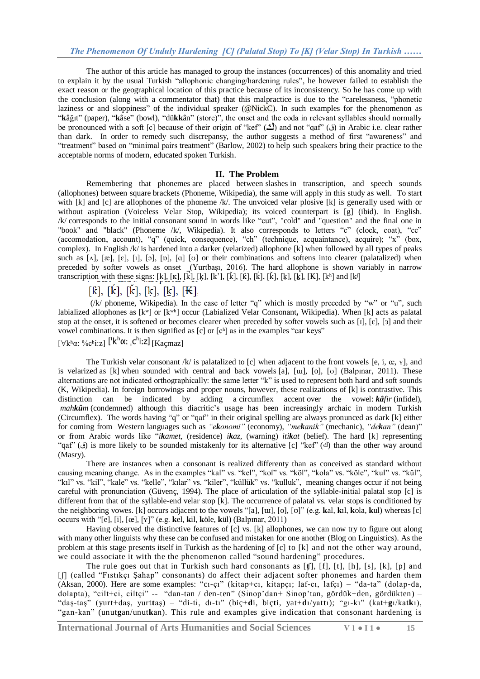The author of this article has managed to group the instances (occurrences) of this anomality and tried to explain it by the usual Turkish "allophonic changing/hardening rules", he however failed to establish the exact reason or the geographical location of this practice because of its inconsistency. So he has come up with the conclusion (along with a commentator that) that this malpractice is due to the "carelessness, "phonetic laziness or and sloppiness" of the individual speaker (@NickC). In such examples for the phenomenon as "kâğıt" (paper), "kâse" (bowl), "dükkân" (store)", the onset and the coda in relevant syllables should normally be pronounced with a soft [c] because of their origin of "kef" (٤) and not "qaf" (ق) in Arabic i.e. clear rather than dark. In order to remedy such discrepansy, the author suggests a method of first "awareness" and "treatment" based on "minimal pairs treatment" (Barlow, 2002) to help such speakers bring their practice to the acceptable norms of modern, educated spoken Turkish.

#### **II. The Problem**

Remembering that phonemes are placed between slashes in transcription, and speech sounds (allophones) between square brackets (Phoneme, Wikipedia), the same will apply in this study as well. To start with [k] and [c] are allophones of the phoneme /k/. The unvoiced velar plosive [k] is generally used with or without aspiration (Voiceless Velar Stop, Wikipedia); its voiced counterpart is [g] (ibid). In English. /k/ corresponds to the initial [consonant](http://teflpedia.com/Consonant) sound in words like "cut", "cold" and "question" and the final one in "book" and "black" (Phoneme /k/, Wikipedia). It also corresponds to letters "c" (clock, coat), "cc" (accomodation, account), "q" (quick, consequence), "ch" (technique, acquaintance), acquire); "x" (box, complex). In English /k/ is hardened into a darker (velarized) allophone [k] when followed by all types of peaks such as  $[\Lambda], [\alpha], [\epsilon], [\iota], [\iota], [\iota], [\iota]$ ,  $[\alpha]$  [v] or their combinations and softens into clearer (palatalized) when preceded by softer vowels as onset (Yurtbaşı, 2016). The hard allophone is shown variably in narrow transcription with these signs: [k], [k], [k], [k], [k'], [k̆], [k̆], [k̆], [k̆], [k̆], [\[ḳ\]](https://en.wikipedia.org/wiki/Dot_(diacritic)), [kʰ] and [kʲ]

# $[k], [k], [k], [k], [k], [K]$

(/k/ phoneme, Wikipedia). In the case of letter "q" which is mostly preceded by "w" or "u", such labialized allophones as [kʷ] or [kʷʰ] occur (Labialized Velar Consonant**,** Wikipedia). When [k] acts as palatal stop at the onset, it is softened or becomes clearer when preceded by softer vowels such as [ɪ], [ɛ], [ɜ] and their vowel combinations. It is then signified as [c] or [cʰ] as in the examples "car keys"

 $[\forall k^h q \cdot \sqrt{6}e^{h} i \cdot z]$   $[ k^h \alpha; c^h i z]$   $[K_{\text{acmax}}]$ 

The Turkish velar consonant /k/ is palatalized to [c] when adjacent to the front vowels [e, i, œ,  $\mathbf{v}$ ], and is velarized as [\[k\]](https://en.wikipedia.org/wiki/Velarized_dental_lateral_approximant) when sounded with central and back vowels [a], [ɯ], [o], [ʊ] (Balpınar, 2011). These alternations are not indicated orthographically: the same letter "k" is used to represent both hard and soft sounds (K, Wikipedia). In foreign borrowings and proper nouns, however, these realizations of [k] is [contrastive.](https://en.wikipedia.org/wiki/Contrastive_distribution) This distinction can be indicated by adding a [circumflex accent](https://en.wikipedia.org/wiki/Circumflex) over the vowel: *kâfir* (infidel), *mahkûm* (condemned) although this diacritic's usage has been increasingly archaic in modern Turkish (Circumflex). The words having "q" or "qaf" in their original spelling are always pronunced as dark [k] either for coming from Western languages such as "ekonomi" (economy), "mekanik" (mechanic), "dekan" (dean)" or from Arabic words like "*ikamet,* (residence) *ikaz,* (warning) *itikat* (belief). The hard [k] representing "qaf" (ق) is more likely to be sounded mistakenly for its alternative [c] "kef" ( $\triangleq$ ) than the other way around (Masry).

There are instances when a consonant is realized differenty than as conceived as standard without causing meaning change. As in the examples "kal" vs. "kel", "kol" vs. "köl", "kola" vs. "köle", "kul" vs. "kül", "kıl" vs. "kil", "kale" vs. "kelle", "kılar" vs. "kiler", "küllük" vs. "kulluk", meaning changes occur if not being careful with pronunciation (Güvenç, 1994). The place of articulation of the syllable-initial palatal stop [c] is different from that of the syllable-end velar stop [k]. The occurrence of palatal vs. velar stops is conditioned by the neighboring vowes. [k] occurs adjacent to the vowels "[a], [ɯ], [o], [ʊ]" )e.g. **k**al, **k**ıl, **k**ola, **k**ul) whereas [c] occurs with "[e], [i], [œ], [ʏ]" )e.g. **k**el, **k**il, **k**öle, **k**ül) (Balpınar, 2011)

Having observed the distinctive features of [c] vs. [k] allophones, we can now try to figure out along with many other linguists why these can be confused and mistaken for one another (Blog on Linguistics). As the problem at this stage presents itself in Turkish as the hardening of [c] to [k] and not the other way around, we could associate it with the the phenomenon called "sound hardening" procedures.

The rule goes out that in Turkish such hard consonants as  $[f]$ ,  $[f]$ ,  $[f]$ ,  $[h]$ ,  $[s]$ ,  $[k]$ ,  $[p]$  and [f] (called "Fistikçi Şahap" consonants) do affect their adjacent softer phonemes and harden them (Aksan, 2000). Here are some examples: "cı-çı" (kitap+cı, kitapçı; laf-cı, lafçı) – "da-ta" (dolap-da, dolapta), "cilt+ci, ciltçi" -- "dan-tan / den-ten" (Sinop'dan+ Sinop'tan, gördük+den, gördükten) – "daş-taş" (yurt+daş, yurttaş) – "di-ti, dı-tı" (biç+di, biçti, yat+dı/yattı); "gı-kı" (kat+gı/katkı), "gan-kan" (unut**g**an/unut**k**an). This rule and examples give indication that consonant hardening is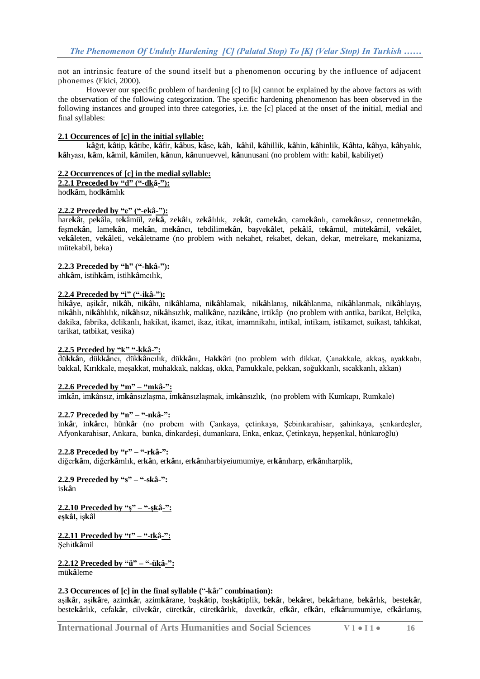not an intrinsic feature of the sound itself but a phenomenon occuring by the influence of adjacent phonemes (Ekici, 2000).

However our specific problem of hardening [c] to [k] cannot be explained by the above factors as with the observation of the following categorization. The specific hardening phenomenon has been observed in the following instances and grouped into three categories, i.e. the [c] placed at the onset of the initial, medial and final syllables:

#### **2.1 Occurences of [c] in the initial syllable:**

**kâ**ğıt, **kâ**tip, **kâ**tibe, **kâ**fir, **kâ**bus, **kâ**se, **[kâ](https://tr.wiktionary.org/wiki/k%C3%A2h)**h, **kâ**[hil,](https://tr.wiktionary.org/wiki/k%C3%A2hil) **kâ**[hillik,](https://tr.wiktionary.org/wiki/k%C3%A2hillik) **kâ**[hin,](https://tr.wiktionary.org/wiki/k%C3%A2hin) **kâ**[hinlik,](https://tr.wiktionary.org/wiki/k%C3%A2hinlik) **Kâ**[hta,](https://tr.wiktionary.org/w/index.php?title=K%C3%A2hta&action=edit&redlink=1) **kâ**[hya,](https://tr.wiktionary.org/wiki/k%C3%A2hya) **kâ**[hyalık,](https://tr.wiktionary.org/wiki/k%C3%A2hyal%C4%B1k) **kâ**[hyası,](https://tr.wiktionary.org/w/index.php?title=k%C3%A2hyas%C4%B1&action=edit&redlink=1) **[kâ](https://tr.wiktionary.org/wiki/k%C3%A2m)**m, **kâ**[mil,](https://tr.wiktionary.org/wiki/k%C3%A2mil) **kâ**[milen,](https://tr.wiktionary.org/wiki/k%C3%A2milen) **kâ**[nun,](https://tr.wiktionary.org/wiki/k%C3%A2nun) **kâ**[nunuevvel,](https://tr.wiktionary.org/wiki/k%C3%A2nunuevvel) **kâ**[nunusani](https://tr.wiktionary.org/wiki/k%C3%A2nunusani) (no problem with: **k**abil, **k**abiliyet)

#### **2.2 Occurrences of [c] in the medial syllable:**

**2.2.1 Preceded by "d" ("-dkâ-"):**

hod**kâ**m, hod**kâ**[mlık](https://tr.wiktionary.org/w/index.php?title=istihk%C3%A2mc%C4%B1l%C4%B1k&action=edit&redlink=1)

#### **2.2.2 Preceded by "e" ("-ekâ-"):**

hare**kâ**t, pe**k**âla, te**k**âmül, ze**kâ**, ze**kâ**lı, ze**kâ**[lılık,](https://tr.wiktionary.org/wiki/zek%C3%A2l%C4%B1l%C4%B1k) ze**kâ**t, [came](https://tr.wiktionary.org/wiki/camek%C3%A2n)**kâ**n, [came](https://tr.wiktionary.org/wiki/camek%C3%A2nl%C4%B1)**kâ**nlı, [came](https://tr.wiktionary.org/w/index.php?title=camek%C3%A2ns%C4%B1z&action=edit&redlink=1)**kâ**nsız, [cennetme](https://tr.wiktionary.org/wiki/cennetmek%C3%A2n)**kâ**n, [feşme](https://tr.wiktionary.org/w/index.php?title=fe%C5%9Fmek%C3%A2n&action=edit&redlink=1)**kâ**n, [lame](https://tr.wiktionary.org/wiki/lamek%C3%A2n)**kâ**n, [me](https://tr.wiktionary.org/wiki/mek%C3%A2n)**kâ**n, [me](https://tr.wiktionary.org/wiki/mek%C3%A2nc%C4%B1)**kâ**ncı, [tebdilime](https://tr.wiktionary.org/wiki/tebdilimek%C3%A2n)**kâ**n, [başve](https://tr.wiktionary.org/wiki/ba%C5%9Fvek%C3%A2let)**kâ**let, [pe](https://tr.wiktionary.org/wiki/pek%C3%A2l%C3%A2)**kâ**lâ, te**kâ**[mül,](https://tr.wiktionary.org/wiki/tek%C3%A2m%C3%BCl) [müte](https://tr.wiktionary.org/wiki/tek%C3%A2m%C3%BCl)**kâ**mil, ve**kâ**[let,](https://tr.wiktionary.org/wiki/vek%C3%A2let) ve**kâ**[leten,](https://tr.wiktionary.org/wiki/vek%C3%A2leten) ve**kâ**[leti,](https://tr.wiktionary.org/w/index.php?title=vek%C3%A2leti&action=edit&redlink=1) ve**kâ**[letname](https://tr.wiktionary.org/wiki/vek%C3%A2letname) (no problem with nekahet, rekabet, dekan, dekar, metrekare, mekanizma, mütekabil, beka)

#### **2.2.3 Preceded by "h" ("-hkâ-"):**

ah**kâ**m, [istih](https://tr.wiktionary.org/wiki/istihk%C3%A2m)**kâ**m, istih**kâ**[mcılık,](https://tr.wiktionary.org/w/index.php?title=istihk%C3%A2mc%C4%B1l%C4%B1k&action=edit&redlink=1)

#### **2.2.4 Preceded by "i" ("-ikâ-"):**

hi**kâ**ye, aşi**k**âr, ni**[kâ](https://tr.wiktionary.org/wiki/nik%C3%A2h)**h, ni**[kâ](https://tr.wiktionary.org/w/index.php?title=nik%C3%A2h%C4%B1&action=edit&redlink=1)**hı, ni**kâ**[hlama,](https://tr.wiktionary.org/wiki/nik%C3%A2hlama) ni**kâ**[hlamak,](https://tr.wiktionary.org/wiki/nik%C3%A2hlamak) ni**kâ**[hlanış,](https://tr.wiktionary.org/wiki/nik%C3%A2hlan%C4%B1%C5%9F) ni**kâ**[hlanma,](https://tr.wiktionary.org/wiki/nik%C3%A2hlanma) ni**kâ**[hlanmak,](https://tr.wiktionary.org/wiki/nik%C3%A2hlanmak) ni**kâ**[hlayış,](https://tr.wiktionary.org/wiki/nik%C3%A2hlay%C4%B1%C5%9F) ni**kâ**[hlı,](https://tr.wiktionary.org/wiki/nik%C3%A2hl%C4%B1) ni**kâ**[hlılık,](https://tr.wiktionary.org/wiki/nik%C3%A2hl%C4%B1l%C4%B1k) ni**kâ**[hsız,](https://tr.wiktionary.org/wiki/nik%C3%A2hs%C4%B1z) ni**kâ**[hsızlık,](https://tr.wiktionary.org/wiki/nik%C3%A2hs%C4%B1zl%C4%B1k) [mali](https://tr.wiktionary.org/wiki/malik%C3%A2ne)**kâ**ne, [nazi](https://tr.wiktionary.org/wiki/nazik%C3%A2ne)**kâ**ne, irtikâp (no problem with antika, barikat, Belçika, dakika, fabrika, delikanlı, hakikat, ikamet, ikaz, itikat, imamnikahı, intikal, intikam, istikamet, suikast, tahkikat, tarikat, tatbikat, vesika)

## **2.2.5 Prceded by "k" "-kkâ-":**

dü**kkâ**n, [dük](https://tr.wiktionary.org/wiki/d%C3%BCkk%C3%A2nc%C4%B1)**kâ**ncı, dük**kâ**[ncılık,](https://tr.wiktionary.org/wiki/d%C3%BCkk%C3%A2nc%C4%B1l%C4%B1k) [dük](https://tr.wiktionary.org/w/index.php?title=d%C3%BCkk%C3%A2n%C4%B1&action=edit&redlink=1)**kâ**nı, Ha**kk**âri (no problem with dikkat, Çanakkale, akkaş, ayakkabı, bakkal, Kırıkkale, meşakkat, muhakkak, nakkaş, okka, Pamukkale, pekkan, soğukkanlı, sıcakkanlı, akkan)

#### **2.2.6 Preceded by "m" – "mkâ-":**

imkân, imkânsız, imkâ[nsızlaşma,](https://tr.wiktionary.org/w/index.php?title=imk%C3%A2ns%C4%B1zla%C5%9Fma&action=edit&redlink=1) imkâ[nsızlaşmak,](https://tr.wiktionary.org/w/index.php?title=imk%C3%A2ns%C4%B1zla%C5%9Fmak&action=edit&redlink=1) imkâ[nsızlık,](https://tr.wiktionary.org/wiki/imk%C3%A2ns%C4%B1zl%C4%B1k) (no problem with Kumkapı, Rumkale)

## **2.2.7 Preceded by "n" – "-nkâ-":**

inkâr, inkârcı, hünkâr (no probem with Çankaya, çetinkaya, Şebinkarahisar, şahinkaya, şenkardeşler, Afyonkarahisar, Ankara, banka, dinkardeşi, dumankara, Enka, enkaz, Çetinkaya, hepşenkal, hünkaroğlu(

## **2.2.8 Preceded by "r" – "-rkâ-":**

diğer**kâ**m, diğer**kâ**mlık, er**[kâ](https://tr.wiktionary.org/wiki/erk%C3%A2n)**n, er**[kâ](https://tr.wiktionary.org/w/index.php?title=erk%C3%A2n%C4%B1&action=edit&redlink=1)**nı, er**kâ**[nıharbiyeiumumiye,](https://tr.wiktionary.org/wiki/erk%C3%A2n%C4%B1harbiyeiumumiye) er**kâ**[nıharp,](https://tr.wiktionary.org/wiki/erk%C3%A2n%C4%B1harp) er**kâ**[nıharplik,](https://tr.wiktionary.org/wiki/erk%C3%A2n%C4%B1harplik)

# **2.2.9 Preceded by "s" – "-skâ-":** is**[kâ](https://tr.wiktionary.org/wiki/isk%C3%A2n)**n

**2.2.10 Preceded by "ş" – "-şkâ-": eşkâl,** iş**kâ**l

**2.2.11 Preceded by "t" – "-tkâ-":** Şehit**kâ**mil

**2.2.12 Preceded by "ü" – "-ükâ-":** mü**kâ**leme

## **2.3 Occurences of [c] in the final syllable (**"-**kâ**r" **combination):**

[aşi](https://tr.wiktionary.org/wiki/a%C5%9Fik%C3%A2r)**kâ**r, [aşi](https://tr.wiktionary.org/wiki/a%C5%9Fik%C3%A2re)**kâ**re, [azim](https://tr.wiktionary.org/wiki/azimk%C3%A2r)**kâ**r, [azim](https://tr.wiktionary.org/wiki/azimk%C3%A2rane)**kâ**rane, [baş](https://tr.wiktionary.org/wiki/ba%C5%9Fk%C3%A2tip)**kâ**tip, baş**kâ**[tiplik,](https://tr.wiktionary.org/wiki/ba%C5%9Fk%C3%A2tiplik) [be](https://tr.wiktionary.org/wiki/bek%C3%A2r)**kâ**r, be**kâ**[ret,](https://tr.wiktionary.org/wiki/bek%C3%A2ret) be**kâ**[rhane,](https://tr.wiktionary.org/wiki/bek%C3%A2rhane) be**kâ**[rlık,](https://tr.wiktionary.org/wiki/bek%C3%A2rl%C4%B1k) [beste](https://tr.wiktionary.org/wiki/bestek%C3%A2r)**kâ**r, [beste](https://tr.wiktionary.org/w/index.php?title=bestek%C3%A2rl%C4%B1k&action=edit&redlink=1)**kâ**rlık, [cefa](https://tr.wiktionary.org/wiki/cefak%C3%A2r)**kâ**r, [cilve](https://tr.wiktionary.org/wiki/cilvek%C3%A2r)**kâ**r, [cüret](https://tr.wiktionary.org/wiki/c%C3%BCretk%C3%A2r)**kâ**r, [cüret](https://tr.wiktionary.org/wiki/c%C3%BCretk%C3%A2rl%C4%B1k)**kâ**rlık, [davet](https://tr.wiktionary.org/wiki/davetk%C3%A2r)**kâ**r, ef**[kâ](https://tr.wiktionary.org/wiki/efk%C3%A2r)**r, ef**[kâ](https://tr.wiktionary.org/w/index.php?title=efk%C3%A2r%C4%B1&action=edit&redlink=1)**rı, ef**kâ**[rıumumiye,](https://tr.wiktionary.org/wiki/efk%C3%A2r%C4%B1umumiye) ef**kâ**[rlanış,](https://tr.wiktionary.org/w/index.php?title=efk%C3%A2rlan%C4%B1%C5%9F&action=edit&redlink=1)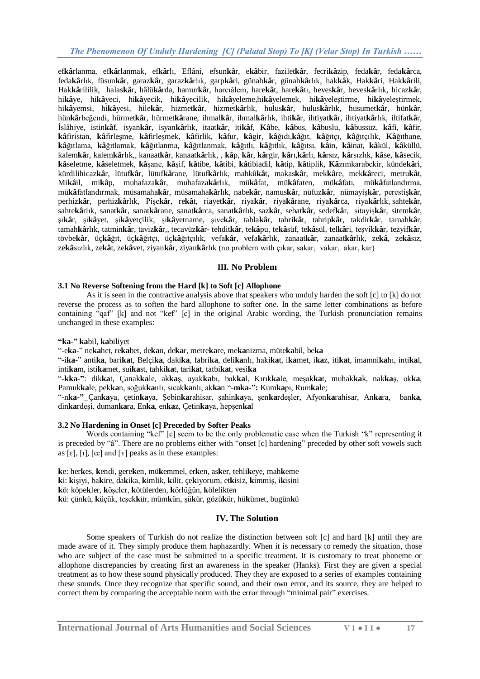ef**kâ**[rlanma,](https://tr.wiktionary.org/w/index.php?title=efk%C3%A2rlanma&action=edit&redlink=1) ef**kâ**[rlanmak,](https://tr.wiktionary.org/wiki/efk%C3%A2rlanmak) ef**kâ**[rlı,](https://tr.wiktionary.org/wiki/efk%C3%A2rl%C4%B1) [Eflâni,](https://tr.wiktionary.org/w/index.php?title=Efl%C3%A2ni&action=edit&redlink=1) [efsun](https://tr.wiktionary.org/wiki/efsunk%C3%A2r)**kâ**r, e**kâ**[bir,](https://tr.wiktionary.org/wiki/ek%C3%A2bir) [fazilet](https://tr.wiktionary.org/wiki/faziletk%C3%A2r)**kâ**r, [fecri](https://tr.wiktionary.org/wiki/fecrik%C3%A2zip)**kâ**zip, [feda](https://tr.wiktionary.org/wiki/fedak%C3%A2r)**kâ**r, [feda](https://tr.wiktionary.org/wiki/fedak%C3%A2rca)**kâ**rca, [feda](https://tr.wiktionary.org/wiki/fedak%C3%A2rl%C4%B1k)**kâ**rlık, [füsun](https://tr.wiktionary.org/wiki/f%C3%BCsunk%C3%A2r)**kâ**r, [garaz](https://tr.wiktionary.org/wiki/garazk%C3%A2r)**kâ**r, [garaz](https://tr.wiktionary.org/wiki/garazk%C3%A2rl%C4%B1k)**kâ**rlık, [garp](https://tr.wiktionary.org/w/index.php?title=Garpk%C3%A2ri&action=edit&redlink=1)**kâ**ri, [günah](https://tr.wiktionary.org/wiki/g%C3%BCnahk%C3%A2r)**kâ**r, [günah](https://tr.wiktionary.org/wiki/g%C3%BCnahk%C3%A2rl%C4%B1k)**kâ**rlık, [hak](https://tr.wiktionary.org/wiki/hakk%C3%A2k)**kâ**k, [Hak](https://tr.wiktionary.org/wiki/Hakk%C3%A2ri)**kâ**ri, [Hak](https://tr.wiktionary.org/wiki/Hakk%C3%A2rili)**kâ**rili, Hak**kâ**[rililik,](https://tr.wiktionary.org/wiki/Hakk%C3%A2rililik) [halas](https://tr.wiktionary.org/wiki/halask%C3%A2r)**kâ**r, [hâlü](https://tr.wiktionary.org/w/index.php?title=h%C3%A2l%C3%BCk%C3%A2rda&action=edit&redlink=1)**kâ**rda, [hamur](https://tr.wiktionary.org/wiki/hamurk%C3%A2r)**kâ**r, [harcıâlem,](https://tr.wiktionary.org/wiki/harc%C4%B1%C3%A2lem) [hare](https://tr.wiktionary.org/wiki/harek%C3%A2t)**kâ**t, [hare](https://tr.wiktionary.org/w/index.php?title=harek%C3%A2t%C4%B1&action=edit&redlink=1)**kâ**tı, [heves](https://tr.wiktionary.org/wiki/hevesk%C3%A2r)**kâ**r, [heves](https://tr.wiktionary.org/wiki/hevesk%C3%A2rl%C4%B1k)**kâ**rlık, [hicaz](https://tr.wiktionary.org/wiki/hicazk%C3%A2r)**kâ**r, hi**kâ**[ye,](https://tr.wiktionary.org/wiki/hik%C3%A2ye) hi**kâ**[yeci,](https://tr.wiktionary.org/wiki/hik%C3%A2yeci) hi**kâ**[yecik,](https://tr.wiktionary.org/w/index.php?title=hik%C3%A2yecik&action=edit&redlink=1) hi**kâ**[yecilik,](https://tr.wiktionary.org/wiki/hik%C3%A2yecilik) hi**kâ**[yeleme,](https://tr.wiktionary.org/wiki/hik%C3%A2yeleme)hi**kâ**[yelemek,](https://tr.wiktionary.org/wiki/hik%C3%A2yelemek) hi**kâ**[yeleştirme,](https://tr.wiktionary.org/w/index.php?title=hik%C3%A2yele%C5%9Ftirme&action=edit&redlink=1) hi**kâ**[yeleştirmek,](https://tr.wiktionary.org/wiki/hik%C3%A2yele%C5%9Ftirmek) hi**kâ**[yemsi,](https://tr.wiktionary.org/w/index.php?title=hik%C3%A2yemsi&action=edit&redlink=1) hi**kâ**[yesi,](https://tr.wiktionary.org/w/index.php?title=hik%C3%A2yesi&action=edit&redlink=1) [hile](https://tr.wiktionary.org/wiki/hilek%C3%A2r)**kâ**r, [hizmet](https://tr.wiktionary.org/wiki/hizmetk%C3%A2r)**kâ**r, [hizmet](https://tr.wiktionary.org/wiki/hizmetk%C3%A2rl%C4%B1k)**kâ**rlık, [hulus](https://tr.wiktionary.org/wiki/hulusk%C3%A2r)**kâ**r, [hulus](https://tr.wiktionary.org/wiki/hulusk%C3%A2rl%C4%B1k)**kâ**rlık, [husumet](https://tr.wiktionary.org/w/index.php?title=husumetk%C3%A2r&action=edit&redlink=1)**kâ**r, [hün](https://tr.wiktionary.org/wiki/h%C3%BCnk%C3%A2r)**kâ**r, hün**kâ**[rbeğendi,](https://tr.wiktionary.org/wiki/h%C3%BCnk%C3%A2rbe%C4%9Fendi) [hürmet](https://tr.wiktionary.org/wiki/h%C3%BCrmetk%C3%A2r)**kâ**r, [hürmet](https://tr.wiktionary.org/wiki/h%C3%BCrmetk%C3%A2rane)**kâ**rane, [ihmal](https://tr.wiktionary.org/wiki/ihmalk%C3%A2r)**kâ**r, [ihmal](https://tr.wiktionary.org/wiki/ihmalk%C3%A2rl%C4%B1k)**kâ**rlık, [ihti](https://tr.wiktionary.org/wiki/ihtik%C3%A2r)**kâ**r, [ihtiyat](https://tr.wiktionary.org/wiki/ihtiyatk%C3%A2r)**kâ**r, [ihtiyat](https://tr.wiktionary.org/wiki/ihtiyatk%C3%A2rl%C4%B1k)**kâ**rlık, [iltifat](https://tr.wiktionary.org/wiki/iltifatk%C3%A2r)**kâ**r, [İslâhiye,](https://tr.wiktionary.org/w/index.php?title=%C4%B0sl%C3%A2hiye&action=edit&redlink=1) [istin](https://tr.wiktionary.org/wiki/istink%C3%A2f)**kâ**f, [isyan](https://tr.wiktionary.org/wiki/isyank%C3%A2r)**kâ**r, [isyan](https://tr.wiktionary.org/wiki/isyank%C3%A2rl%C4%B1k)**kâ**rlık, [itaat](https://tr.wiktionary.org/wiki/itaatk%C3%A2r)**kâ**r, [iti](https://tr.wiktionary.org/wiki/itik%C3%A2f)**kâ**f, **[Kâ](https://tr.wiktionary.org/wiki/K%C3%A2be)**be, **kâ**[bus,](https://tr.wiktionary.org/wiki/k%C3%A2bus) **kâ**[buslu,](https://tr.wiktionary.org/wiki/k%C3%A2buslu) **kâ**[bussuz,](https://tr.wiktionary.org/w/index.php?title=k%C3%A2bussuz&action=edit&redlink=1) **[kâ](https://tr.wiktionary.org/wiki/k%C3%A2fi)**fi, **kâ**[fir,](https://tr.wiktionary.org/wiki/k%C3%A2fir) **kâ**[firistan,](https://tr.wiktionary.org/w/index.php?title=k%C3%A2firistan&action=edit&redlink=1) **kâ**[firleşme,](https://tr.wiktionary.org/wiki/k%C3%A2firle%C5%9Fme) **kâ**[firleşmek,](https://tr.wiktionary.org/wiki/k%C3%A2firle%C5%9Fmek) **kâ**[firlik,](https://tr.wiktionary.org/wiki/k%C3%A2firlik) **kâ**[fur,](https://tr.wiktionary.org/wiki/k%C3%A2fur) **kâ**[gir,](https://tr.wiktionary.org/wiki/k%C3%A2gir) **kâ**[ğıdı,](https://tr.wiktionary.org/w/index.php?title=k%C3%A2%C4%9F%C4%B1d%C4%B1&action=edit&redlink=1)**kâ**[ğıt,](https://tr.wiktionary.org/wiki/k%C3%A2%C4%9F%C4%B1t) **kâ**[ğıtçı,](https://tr.wiktionary.org/wiki/k%C3%A2%C4%9F%C4%B1t%C3%A7%C4%B1) **kâ**[ğıtçılık,](https://tr.wiktionary.org/wiki/k%C3%A2%C4%9F%C4%B1t%C3%A7%C4%B1l%C4%B1k) **Kâ**[ğıthane,](https://tr.wiktionary.org/w/index.php?title=K%C3%A2%C4%9F%C4%B1thane&action=edit&redlink=1) **kâ**[ğıtlama,](https://tr.wiktionary.org/wiki/k%C3%A2%C4%9F%C4%B1tlama) **kâ**[ğıtlamak,](https://tr.wiktionary.org/w/index.php?title=k%C3%A2%C4%9F%C4%B1tlamak&action=edit&redlink=1) **kâ**[ğıtlanma,](https://tr.wiktionary.org/w/index.php?title=k%C3%A2%C4%9F%C4%B1tlanma&action=edit&redlink=1) **kâ**[ğıtlanmak,](https://tr.wiktionary.org/wiki/k%C3%A2%C4%9F%C4%B1tlanmak) **kâ**[ğıtlı,](https://tr.wiktionary.org/wiki/k%C3%A2%C4%9F%C4%B1tl%C4%B1) **kâ**[ğıtlık,](https://tr.wiktionary.org/wiki/k%C3%A2%C4%9F%C4%B1tl%C4%B1k) **kâ**[ğıtsı,](https://tr.wiktionary.org/wiki/k%C3%A2%C4%9F%C4%B1ts%C4%B1) **[kâ](https://tr.wiktionary.org/wiki/k%C3%A2in)**in, **kâ**[inat,](https://tr.wiktionary.org/wiki/k%C3%A2inat) **kâ**[kül,](https://tr.wiktionary.org/wiki/k%C3%A2k%C3%BCl) **kâ**[küllü,](https://tr.wiktionary.org/wiki/k%C3%A2k%C3%BCll%C3%BC) [kalem](https://tr.wiktionary.org/wiki/kalemk%C3%A2r)**kâ**r, [kalem](https://tr.wiktionary.org/wiki/kalemk%C3%A2rl%C4%B1k)**kâ**rlık,, [kanaat](https://tr.wiktionary.org/wiki/kanaatk%C3%A2r)**kâ**r, [kanaat](https://tr.wiktionary.org/wiki/kanaatk%C3%A2rl%C4%B1k)**kâ**rlık, , **[kâ](https://tr.wiktionary.org/wiki/k%C3%A2p)**p, **[kâ](https://tr.wiktionary.org/wiki/k%C3%A2r)**r, **kâ**[rgir,](https://tr.wiktionary.org/wiki/k%C3%A2rgir) **[kâ](https://tr.wiktionary.org/w/index.php?title=k%C3%A2r%C4%B1&action=edit&redlink=1)**rı,**kâ**[rlı,](https://tr.wiktionary.org/wiki/k%C3%A2rl%C4%B1) **kâ**[rsız,](https://tr.wiktionary.org/wiki/k%C3%A2rs%C4%B1z) **kâ**[rsızlık,](https://tr.wiktionary.org/wiki/k%C3%A2rs%C4%B1zl%C4%B1k) **[kâ](https://tr.wiktionary.org/wiki/k%C3%A2se)**se, **kâ**[secik,](https://tr.wiktionary.org/wiki/k%C3%A2secik) **kâ**[seletme,](https://tr.wiktionary.org/wiki/k%C3%A2seletme) **kâ**[seletmek,](https://tr.wiktionary.org/w/index.php?title=k%C3%A2seletmek&action=edit&redlink=1) **kâ**[şane,](https://tr.wiktionary.org/w/index.php?title=k%C3%A2%C5%9Fane&action=edit&redlink=1) **kâ**[şif,](https://tr.wiktionary.org/wiki/k%C3%A2%C5%9Fif) **kâ**[tibe,](https://tr.wiktionary.org/wiki/k%C3%A2tibe) **kâ**[tibi,](https://tr.wiktionary.org/w/index.php?title=k%C3%A2tibi&action=edit&redlink=1) **kâ**[tibiadil,](https://tr.wiktionary.org/wiki/k%C3%A2tibiadil) **kâ**[tip,](https://tr.wiktionary.org/wiki/k%C3%A2tip) **kâ**[tiplik,](https://tr.wiktionary.org/wiki/k%C3%A2tiplik) **Kâ**[zımkarabekir,](https://tr.wiktionary.org/w/index.php?title=K%C3%A2z%C4%B1mkarabekir&action=edit&redlink=1) [künde](https://tr.wiktionary.org/wiki/k%C3%BCndek%C3%A2ri)**kâ**ri, [kürdilihicaz](https://tr.wiktionary.org/wiki/k%C3%BCrdilihicazk%C3%A2r)**kâ**r, [lütuf](https://tr.wiktionary.org/wiki/l%C3%BCtufk%C3%A2r)**kâ**r, [lütuf](https://tr.wiktionary.org/wiki/l%C3%BCtufk%C3%A2rane)**kâ**rane, [lütuf](https://tr.wiktionary.org/wiki/l%C3%BCtufk%C3%A2rl%C4%B1k)**kâ**rlık, [mahkû](https://tr.wiktionary.org/wiki/mahk%C3%BBk%C3%A2t)**kâ**t, [makas](https://tr.wiktionary.org/wiki/makask%C3%A2r)**kâ**r, [mek](https://tr.wiktionary.org/wiki/mekk%C3%A2re)**kâ**re, [mek](https://tr.wiktionary.org/wiki/mekk%C3%A2reci)**kâ**reci, [metru](https://tr.wiktionary.org/w/index.php?title=metruk%C3%A2t&action=edit&redlink=1)**kâ**t, [Mi](https://tr.wiktionary.org/wiki/Mik%C3%A2il)**kâ**il, [mi](https://tr.wiktionary.org/wiki/mik%C3%A2p)**kâ**p, [muhafaza](https://tr.wiktionary.org/wiki/muhafazak%C3%A2r)**kâ**r, [muhafaza](https://tr.wiktionary.org/wiki/muhafazak%C3%A2rl%C4%B1k)**kâ**rlık, [mü](https://tr.wiktionary.org/wiki/m%C3%BCk%C3%A2fat)**kâ**fat, mü**kâ**[faten,](https://tr.wiktionary.org/wiki/m%C3%BCk%C3%A2faten) mü**kâ**[fatı,](https://tr.wiktionary.org/w/index.php?title=m%C3%BCk%C3%A2fat%C4%B1&action=edit&redlink=1) mü**kâ**[fatlandırma,](https://tr.wiktionary.org/wiki/m%C3%BCk%C3%A2fatland%C4%B1rma) mü**kâ**[fatlandırmak,](https://tr.wiktionary.org/wiki/m%C3%BCk%C3%A2fatland%C4%B1rmak) [müsamaha](https://tr.wiktionary.org/wiki/m%C3%BCsamahak%C3%A2r)**kâ**r, [müsamaha](https://tr.wiktionary.org/wiki/m%C3%BCsamahak%C3%A2rl%C4%B1k)**kâ**rlık, [nabe](https://tr.wiktionary.org/wiki/nabek%C3%A2r)**kâ**r, [namus](https://tr.wiktionary.org/wiki/namusk%C3%A2r)**kâ**r, [nüfuz](https://tr.wiktionary.org/wiki/n%C3%BCfuzk%C3%A2r)**kâ**r, [nümayiş](https://tr.wiktionary.org/wiki/n%C3%BCmayi%C5%9Fk%C3%A2r)**kâ**r, [perestiş](https://tr.wiktionary.org/wiki/peresti%C5%9Fk%C3%A2r)**kâ**r, [perhiz](https://tr.wiktionary.org/wiki/perhizk%C3%A2r)**kâ**r, [perhiz](https://tr.wiktionary.org/wiki/perhizk%C3%A2rl%C4%B1k)**kâ**rlık, [Pişe](https://tr.wiktionary.org/wiki/Pi%C5%9Fek%C3%A2r)**kâ**r, re**[kâ](https://tr.wiktionary.org/wiki/rek%C3%A2t)**t, [riayet](https://tr.wiktionary.org/wiki/riayetk%C3%A2r)**kâ**r, [riya](https://tr.wiktionary.org/wiki/riyak%C3%A2r)**kâ**r, riya**kâ**[rane,](https://tr.wiktionary.org/wiki/riyak%C3%A2rane) [riya](https://tr.wiktionary.org/w/index.php?title=riyak%C3%A2rca&action=edit&redlink=1)**kâ**rca, [riya](https://tr.wiktionary.org/wiki/riyak%C3%A2rl%C4%B1k)**kâ**rlık, [sahte](https://tr.wiktionary.org/wiki/sahtek%C3%A2r)**kâ**r, [sahte](https://tr.wiktionary.org/wiki/sahtek%C3%A2rl%C4%B1k)**kâ**rlık, [sanat](https://tr.wiktionary.org/wiki/sanatk%C3%A2r)**kâ**r, [sanat](https://tr.wiktionary.org/wiki/sanatk%C3%A2rane)**kâ**rane, [sanat](https://tr.wiktionary.org/w/index.php?title=sanatk%C3%A2rca&action=edit&redlink=1)**kâ**rca, [sanat](https://tr.wiktionary.org/wiki/sanatk%C3%A2rl%C4%B1k)**kâ**rlık, [saz](https://tr.wiktionary.org/wiki/sazk%C3%A2r)**kâ**r, [sebat](https://tr.wiktionary.org/wiki/sebatk%C3%A2r)**kâ**r, [sedef](https://tr.wiktionary.org/wiki/sedefk%C3%A2r)**kâ**r, [sitayiş](https://tr.wiktionary.org/wiki/sitayi%C5%9Fk%C3%A2r)**kâ**r, [sitem](https://tr.wiktionary.org/wiki/sitemk%C3%A2r)**kâ**r, şi**[kâ](https://tr.wiktionary.org/wiki/%C5%9Fik%C3%A2r)**r, şi**kâ**[yet,](https://tr.wiktionary.org/wiki/%C5%9Fik%C3%A2yet) şi**kâ**[yetçilik,](https://tr.wiktionary.org/wiki/%C5%9Fik%C3%A2yet%C3%A7ilik) şi**kâ**[yetname,](https://tr.wiktionary.org/wiki/%C5%9Fik%C3%A2yetname) [şive](https://tr.wiktionary.org/wiki/%C5%9Fivek%C3%A2r)**kâ**r, [tabla](https://tr.wiktionary.org/wiki/tablak%C3%A2r)**kâ**r, [tahri](https://tr.wiktionary.org/wiki/tahrik%C3%A2t)**kâ**t, [tahrip](https://tr.wiktionary.org/wiki/tahripk%C3%A2r)**kâ**r, [takdir](https://tr.wiktionary.org/wiki/takdirk%C3%A2r)**kâ**r, [tamah](https://tr.wiktionary.org/wiki/tamahk%C3%A2r)**kâ**r, [tamah](https://tr.wiktionary.org/wiki/tamahk%C3%A2rl%C4%B1k)**kâ**rlık, [tatmin](https://tr.wiktionary.org/wiki/tatmink%C3%A2r)**kâ**r, [taviz](https://tr.wiktionary.org/wiki/tavizk%C3%A2r)**kâ**r,, [tecavüz](https://tr.wiktionary.org/wiki/tecav%C3%BCzk%C3%A2r)**kâ**r- [tehdit](https://tr.wiktionary.org/wiki/tehditk%C3%A2r)**kâ**r, te**kâ**[pu,](https://tr.wiktionary.org/wiki/tek%C3%A2pu) te**kâ**[süf,](https://tr.wiktionary.org/wiki/tek%C3%A2s%C3%BCf) te**kâ**[sül,](https://tr.wiktionary.org/wiki/tek%C3%A2s%C3%BCl) [tel](https://tr.wiktionary.org/wiki/telk%C3%A2ri)**kâ**ri, [teşvik](https://tr.wiktionary.org/wiki/te%C5%9Fvikk%C3%A2r)**kâ**r, [tezyif](https://tr.wiktionary.org/wiki/tezyifk%C3%A2r)**kâ**r, [tövbe](https://tr.wiktionary.org/wiki/t%C3%B6vbek%C3%A2r)**kâ**r, üç**kâ**[ğıt,](https://tr.wiktionary.org/wiki/%C3%BC%C3%A7k%C3%A2%C4%9F%C4%B1t) üç**kâ**[ğıtçı,](https://tr.wiktionary.org/wiki/%C3%BC%C3%A7k%C3%A2%C4%9F%C4%B1t%C3%A7%C4%B1) üç**kâ**[ğıtçılık,](https://tr.wiktionary.org/wiki/%C3%BC%C3%A7k%C3%A2%C4%9F%C4%B1t%C3%A7%C4%B1l%C4%B1k) [vefa](https://tr.wiktionary.org/wiki/vefak%C3%A2r)**kâ**r, [vefa](https://tr.wiktionary.org/wiki/vefak%C3%A2rl%C4%B1k)**kâ**rlık, [zanaat](https://tr.wiktionary.org/wiki/zanaatk%C3%A2r)**kâ**r, [zanaat](https://tr.wiktionary.org/wiki/zanaatk%C3%A2rl%C4%B1k)**kâ**rlık, [ze](https://tr.wiktionary.org/wiki/zek%C3%A2)**kâ**, ze**kâ**[sız,](https://tr.wiktionary.org/w/index.php?title=zek%C3%A2s%C4%B1z&action=edit&redlink=1) zekâ[sızlık,](https://tr.wiktionary.org/w/index.php?title=zek%C3%A2s%C4%B1zl%C4%B1k&action=edit&redlink=1) [ze](https://tr.wiktionary.org/wiki/zek%C3%A2t)kât, zekâ[vet,](https://tr.wiktionary.org/wiki/zek%C3%A2vet) [ziyan](https://tr.wiktionary.org/wiki/ziyank%C3%A2r)kâr[, ziyan](https://tr.wiktionary.org/wiki/ziyank%C3%A2rl%C4%B1k)kârlık (no problem with çıkar, sakar, vakar, akar, kar)

## **III. No Problem**

## **3.1 No Reverse Softening from the Hard [k] to Soft [c] Allophone**

As it is seen in the contractive analysis above that speakers who unduly harden the soft [c] to [k] do not reverse the process as to soften the hard allophone to softer one. In the same letter combinations as before containing "qaf" [k] and not "kef" [c] in the original Arabic wording, the Turkish pronunciation remains unchanged in these examples:

#### **"ka-" ka**bil, **ka**biliyet

"-e**ka**-" ne**ka**het, re**ka**bet, de**ka**n, de**ka**r, metre**ka**re, me**ka**nizma, müte**ka**bil, be**ka**

"-i**ka**-" anti**ka**, bari**ka**t, Belçi**ka**, daki**ka**, fabri**ka**, deli**ka**nlı, haki**ka**t, i**ka**met, i**ka**z, iti**ka**t, imamni**ka**hı, inti**ka**l, inti**ka**m, isti**ka**met, sui**ka**st, tahki**ka**t, tari**ka**t, tatbi**ka**t, vesi**ka**

"**-kka-"**: dik**ka**t, Çanak**ka**le, ak**ka**ş, ayak**ka**bı, bak**ka**l, Kırık**ka**le, meşak**ka**t, muhak**ka**k, nak**ka**ş, ok**ka**, Pamuk**ka**le, pek**ka**n, soğuk**ka**nlı, sıcak**ka**nlı, ak**ka**n "**-mka-":** Kum**ka**pı, Rum**ka**le;

"-n**ka**-**"** Çan**ka**ya, çetin**ka**ya, Şebin**ka**rahisar, şahin**ka**ya, şen**ka**rdeşler, Afyon**ka**rahisar, An**ka**ra, ban**ka**, din**ka**rdeşi, duman**ka**ra, En**ka**, en**ka**z, Çetin**ka**ya, hepşen**ka**l

## **3.2 No Hardening in Onset [c] Preceded by Softer Peaks**

Words containing "kef" [c] seem to be the only problematic case when the Turkish "k" representing it is preceded by "â". There are no problems either with "onset [c] hardening" preceded by other soft vowels such as  $[\varepsilon]$ ,  $[\iota]$ ,  $[\alpha]$  and  $[\nu]$  peaks as in these examples:

**k**e: her**k**es, **k**endi, gere**k**en, mü**k**emmel, er**k**en, as**k**er, tehli**k**eye, mah**k**eme **k**i: **k**işiyi, ba**k**ire, da**k**ika, **k**imlik, **k**ilit, çe**k**iyorum, et**k**isiz, **k**immiş, i**k**isini **k**ö: köpe**k**ler, **k**öşeler, **k**ötülerden, **k**örlüğün, **k**ölelikten **k**ü: çün**k**ü, **k**üçük, teşek**k**ür, müm**k**ün, şü**k**ür, gözü**k**ür, hü**k**ümet, bugün**k**ü

## **IV. The Solution**

Some speakers of Turkish do not realize the distinction between soft [c] and hard [k] until they are made aware of it. They simply produce them haphazardly. When it is necessary to remedy the situation, those who are subject of the case must be submitted to a specific treatment. It is customary to treat phoneme or allophone discrepancies by creating first an awareness in the speaker (Hanks). First they are given a special treatment as to how these sound physically produced. They they are exposed to a series of examples containing these sounds. Once they recognize that specific sound, and their own error, and its source, they are helped to correct them by comparing the acceptable norm with the error through "minimal pair" exercises.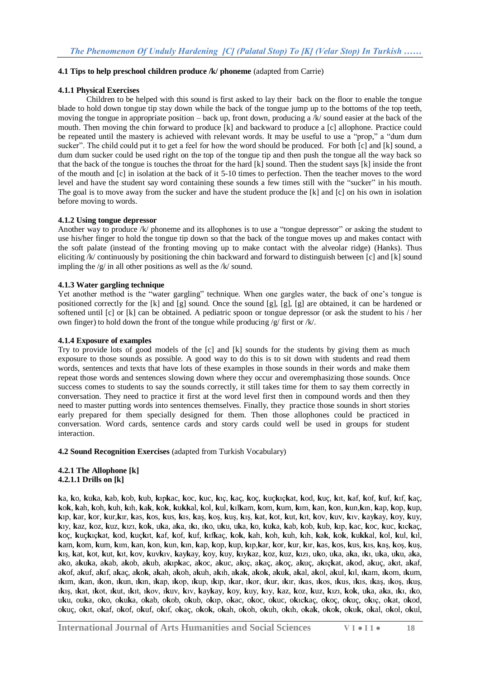#### **4.1 Tips to help preschool children produce /k/ phoneme** (adapted from Carrie)

#### **4.1.1 Physical Exercises**

Children to be helped with this sound is first asked to lay their back on the floor to enable the tongue blade to hold down tongue tip stay down while the back of the tongue jump up to the bottoms of the top teeth, moving the tongue in appropriate position – back up, front down, producing a /k/ sound easier at the back of the mouth. Then moving the chin forward to produce [k] and backward to produce a [c] allophone. Practice could be repeated until the mastery is achieved with relevant words. It may be useful to use a "prop," a "dum dum sucker". The child could put it to get a feel for how the word should be produced. For both [c] and [k] sound, a dum dum sucker could be used right on the top of the tongue tip and then push the tongue all the way back so that the back of the tongue is touches the throat for the hard [k] sound. Then the student says [k] inside the front of the mouth and [c] in isolation at the back of it 5-10 times to perfection. Then the teacher moves to the word level and have the student say word containing these sounds a few times still with the "sucker" in his mouth. The goal is to move away from the sucker and have the student produce the [k] and [c] on his own in isolation before moving to words.

#### **4.1.2 Using tongue depressor**

Another way to produce /k/ phoneme and its allophones is to use a "tongue depressor" or asking the student to use his/her finger to hold the tongue tip down so that the back of the tongue moves up and makes contact with the soft palate (instead of the fronting moving up to make contact with the alveolar ridge) (Hanks). Thus eliciting /k/ continuously by positioning the chin backward and forward to distinguish between [c] and [k] sound impling the  $/g/$  in all other positions as well as the  $/k/$  sound.

#### **4.1.3 Water gargling technique**

Yet another method is the "water gargling" technique. When one gargles water, the back of one's tongue is positioned correctly for the [k] and [g] sound. Once the sound [g], [g], [g] are obtained, it can be hardened or softened until [c] or [k] can be obtained. A pediatric spoon or tongue depressor (or ask the student to his / her own finger) to hold down the front of the tongue while producing /g/ first or /k/.

#### **4.1.4 Exposure of examples**

Try to provide lots of good models of the [c] and [k] sounds for the students by giving them as much exposure to those sounds as possible. A good way to do this is to sit down with students and read them words, sentences and texts that have lots of these examples in those sounds in their words and make them repeat those words and sentences slowing down where they occur and overemphasizing those sounds. Once success comes to students to say the sounds correctly, it still takes time for them to say them correctly in conversation. They need to practice it first at the word level first then in compound words and then they need to master putting words into sentences themselves. Finally, they practice those sounds in short stories early prepared for them specially designed for them. Then those allophones could be practiced in conversation. Word cards, sentence cards and story cards could well be used in groups for student interaction.

**4.2 Sound Recognition Exercises** (adapted from Turkish Vocabulary)

**4.2.1 The Allophone [k] 4.2.1.1 Drills on [k]**

ka, ko, kuka, kab, kob, kub, kıpkac, koc, kuc, kıç, kaç, koç, kuçkıçkat, kod, kuç, kıt, kaf, kof, kuf, kıf, kaç, kok, kah, koh, kuh, kih, kak, kok, kukkal, kol, kul, kilkam, kom, kum, kim, kan, kon, kun, kin, kap, kop, kup, kip, kar, kor, kur, kir, kas, kos, kus, kis, kas, kos, kus, kis, kat, kot, kut, kit, kov, kuv, kiv, kaykay, koy, kuy, kiy, kaz, koz, kuz, kızı, kok, uka, aka, iki, iko, uku, uka, ko, kuka, kab, kob, kub, kıp, kac, koc, kuc, kıckaç, koç, kuçkıçkat, kod, kuçkıt, kaf, kof, kuf, kıfkaç, kok, kah, koh, kuh, kıh, kak, kok, kukkal, kol, kul, kıl, kam, kom, kum, kum, kan, kon, kun, kın, kap, kop, kup, kıp, kar, kor, kur, kır, kas, kos, kus, kıs, kaş, koş, kuş, kış, kat, kot, kut, kıt, kov, kuvkıv, kaykay, koy, kuy, kıykaz, koz, kuz, kızı, uko, uka, aka, ıkı, uka, uku, aka, ako, akuka, akab, akob, akub, akupkac, akoc, akuc, akuc, akac, akoc, akuc, akuckat, akod, akuc, akut, akaf, akof, akuf, akıf, akac, akok, akah, akoh, akuh, akıh, akak, akok, akuk, akal, akol, akul, kıl, ıkam, ıkom, ıkum, ikim, ikan, ikon, ikun, ikin, ikan, ikon, ikun, ikin, ikar, ikor, ikur, ikir, ikas, ikos, ikus, ikis, ikos, ikus, ikis, ikat, ikot, ikut, ikit, ikov, ikuv, kiv, kaykav, kov, kuv, kiv, kaz, koz, kuz, kizi, kok, uka, aka, iki, iko, uku, ouka, oko, okuka, okab, okob, okub, okup, okac, okoc, okuc, okuckac, okoc, okuc, okuc, okat, okod, okuç, okıt, okaf, okof, okuf, okuf, okaç, okok, okah, okoh, okuh, okuh, okak, okok, okuk, okal, okol, okul,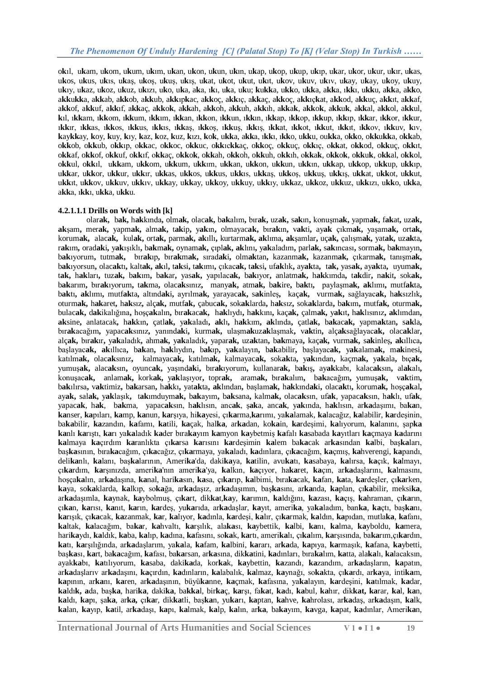okil, ukam, ukom, ukum, ukum, ukan, ukon, ukun, ukun, ukap, ukop, ukup, ukip, ukar, ukor, ukur, ukir, ukas, ukos, ukus, ukis, ukas, ukos, ukus, ukis, ukat, ukot, ukut, ukit, ukov, ukuv, ukiv, ukay, ukay, ukoy, ukuy, ukiy, ukaz, ukoz, ukuz, ukizi, uko, uka, aka, iki, uka, uku; kukka, ukko, ukka, akka, ikki, ukku, akka, akko, a**kk**u**kk**a, a**kk**ab, a**kk**ob, a**kk**ub, a**kk**ıp**k**ac, a**kk**oç, a**kk**ıç, a**kk**aç, a**kk**oç, a**kk**ıç**k**at, a**kk**od, a**kk**uç, a**kk**ıt, a**kk**af, akkof, akkuf, akkıf, akkac, akkok, akkah, akkoh, akkuh, akkıh, akkak, akkok, akkuk, akkal, akkol, akkul, **k**ıl, ı**kk**am, ı**kk**om, ı**kk**um, ı**kk**ım, ı**kk**an, ı**kk**on, ı**kk**un, ı**kk**ın, ı**kk**ap, ı**kk**op, ı**kk**up, ı**kk**ıp, ı**kk**ar, ı**kk**or, ı**kk**ur, ı**kk**ır, ı**kk**as, ı**kk**os, ı**kk**us, ı**kk**ıs, ı**kk**aş, ı**kk**oş, ı**kk**uş, ı**kk**ış, ı**kk**at, ı**kk**ot, ı**kk**ut, ı**kk**ıt, ı**kk**ov, ı**kk**uv, **k**ıv, kaykkay, koy, kuy, kıy, kaz, koz, kuz, kızı, kok, ukka, akka, ıkkı, ıkko, ukku, oukka, okko, okkukka, okkab, o**kk**ob, o**kk**ub, o**kk**ıp, o**kk**ac, o**kk**oc, o**kk**uc, o**kk**ıc**kk**aç, o**kk**oç, o**kk**uç, o**kk**ıç, o**kk**at, o**kk**od, o**kk**uç, o**kk**ıt, okkaf, okkof, okkuf, okkıf, okkaç, okkok, okkah, okkoh, okkuh, okkıh, okkak, okkok, okkuk, okkal, okkol, o**kk**ul, o**kk**ıl, u**kk**am, u**kk**om, u**kk**um, u**kk**ım, u**kk**an, u**kk**on, u**kk**un, u**kk**ın, u**kk**ap, u**kk**op, u**kk**up, u**kk**ıp, u**kk**ar, u**kk**or, u**kk**ur, u**kk**ır, u**kk**as, u**kk**os, u**kk**us, u**kk**ıs, u**kk**aş, u**kk**oş, u**kk**uş, u**kk**ış, u**kk**at, u**kk**ot, u**kk**ut, u**kk**ıt, u**kk**ov, u**kk**uv, u**kk**ıv, u**kk**ay, u**kk**ay, u**kk**oy, u**kk**uy, u**kk**ıy, u**kk**az, u**kk**oz, u**kk**uz, u**kk**ızı, u**kk**o, u**kk**a, a**kk**a, ı**kk**ı, u**kk**a, u**kk**u.

#### **4.2.1.1.1 Drills on Words with [k]**

olar**ak,** b**ak,** h**ak**kında**,** olm**ak,** olac**ak,** b**ak**alım**,** bır**ak,** uz**ak,** s**ak**ın**,** konuşm**ak,** yapm**ak,** f**ak**at**,** uz**ak,**  aksam, merak, yapmak, almak, takip, yakın, olmayacak, bırakın, vakti, ayak çıkmak, yasamak, ortak, korum**ak,** alac**ak,** kul**ak,** ort**ak,** parm**ak, ak**ıllı**,** kurtarm**ak, ak**lıma**, ak**şamlar**,** uç**ak,** çalışm**ak,** yat**ak,** uz**ak**ta**,**  rakım, oradaki, yakışıklı, bakmak, oynamak, çıplak, aklını, yakaladım, parlak, sakıncası, sormak, bakmayın, b**ak**ıyorum**,** tutm**ak,** bır**ak**ıp**,** bır**ak**m**ak,** sırad**ak**i**,** olm**ak**tan**,** kazanm**ak,** kazanm**ak,** çıkarm**ak,** tanışm**ak,**  bakıyorsun, olacaktı, kaltak, akıl, taksi, takımı, çıkacak, taksi, ufaklık, ayakta, tak, yasak, ayakta, uyumak, tak, hakları, tuzak, bakım, bakar, yasak, yapılacak, bakıyor, anlatmak, hakkımda, takdir, nakit, sokak, bakarım, bırakıyorum, takma, olacaksınız, manyak, atmak, bakire, baktı, paylaşmak, aklımı, mutfakta, b**ak**tı**, ak**lımı**,** mutf**ak**ta**,** altınd**ak**i**,** ayrılm**ak,** yarayac**ak,** s**ak**inleş**,** kaç**ak,** vurm**ak,** sağlayac**ak,** h**ak**sızlık**,**  oturmak, hakaret, haksız, alcak, mutfak, cabucak, sokaklarda, haksız, sokaklarda, bakım, mutfak, oturmak, bulacak, dakikalığına, hoşçakalın, bırakacak, haklıydı, hakkını, kaçak, çalmak, yakıt, haklısınız, aklımdan, aksine, anlatacak, hakkın, çatlak, yakaladı, aklı, hakkım, aklında, çatlak, bakacak, yapmaktan, sakla, bır**ak**acağım**,** yapac**ak**sınız**,** yanınd**ak**i**,** kurm**ak,** ulaşm**ak**uz**ak**laşmak**,** v**ak**tin**,** alç**ak**sağlayac**ak,** olac**ak**lar**,**  alçak, bırakır, yakaladık, ahmak, yakaladık, yaparak, uzaktan, bakmaya, kaçak, vurmak, sakinles, akıllıca, başlayac**ak, ak**ıllıca**,** b**ak**an**,** h**ak**lıydın**,** b**ak**ıp**,** y**ak**alayın**,** b**ak**abilir**,** başlayac**ak,** y**ak**alam**ak,** m**ak**inesi**,**  katılm**ak,** olac**ak**sınız**,** kalmayac**ak,** katılm**ak,** kalmayac**ak,** sok**ak**ta**,** y**ak**ından**,** kaçm**ak,** y**ak**ala**,** bıç**ak,**  yumuş**ak,** alac**ak**sın**,** oyunc**ak,** yaşınd**ak**i**,** bır**ak**ıyorum**,** kullanar**ak,** b**ak**ış**,** ay**ak**kabı, kalac**ak**sın**,** al**ak**alı**,**  konuşac**ak,** anlam**ak,** kork**ak,** y**ak**laşıyor**,** topr**ak,** aram**ak,** bır**ak**alım**,** b**ak**acağım**,** yumuş**ak,** v**ak**tim**,**  bakılırsa, vaktimiz, bakarsan, hakkı, yatakta, aklından, baslamak, hakkındaki, olacaktı, korumak, hoscakal, ay**ak,** sal**ak,** y**ak**laşık**,** t**ak**ımduym**ak,** b**ak**ayım**,** b**ak**sana**,** kalm**ak,** olac**ak**sın, uf**ak**, yapac**ak**sın, h**ak**lı, uf**ak**, yapac**ak**, h**ak**, b**ak**ma, yapac**ak**sın, h**ak**lısın, anc**ak**, ş**ak**a, anc**ak**, y**ak**ında, h**ak**lısın, ar**ka**daşımı, ba**ka**n, **ka**nser, **ka**pıları, **ka**mp, **ka**nun, **ka**rşıya, hi**ka**yesi, çı**ka**rma,**ka**rımı, ya**ka**lamak, **ka**lacağız, **ka**labilir, **ka**rdeşinin, ba**ka**bilir, **ka**zandın, **ka**famı, **ka**tili, **ka**çak, hal**ka**, ar**ka**dan, ko**ka**in, **ka**rdeşimi, **ka**lıyorum, **ka**lanını, şap**ka ka**nlı **ka**rıştı, **ka**rı ya**ka**ladık **ka**der bıra**ka**yım **ka**myon **ka**ybetmiş **ka**falı **ka**sabada **ka**yıtları **ka**çmaya **ka**darını **ka**lmaya **ka**çırdım **ka**ranlıkta çı**ka**rsa **ka**rısını **ka**rdeşimin **ka**lem ba**ka**cak ar**ka**sından **ka**lbi, baş**ka**ları, baş**ka**sının, bıra**ka**cağım, çı**ka**cağız, çı**ka**rmaya, ya**ka**ladı, **ka**dınlara, çı**ka**cağım, **ka**çmış, **ka**hverengi, **ka**pandı, deli**ka**nlı, **ka**lanı, baş**ka**larının, Ameri**ka**'da, daki**ka**ya, **ka**tilin, avu**ka**tı, **ka**sabaya, **ka**lırsa, **ka**çık, **ka**lmayı, çı**ka**rdım, **ka**rşınızda, ameri**ka**'nın ameri**ka**'ya, **ka**lkın, **ka**çıyor, ha**ka**ret, **ka**çın, ar**ka**daşlarını, **ka**lmasını, hoşça**ka**lın, ar**ka**daşına, **ka**nal, hari**ka**sın, **ka**sa, çı**ka**rıp, **ka**lbimi, bıra**ka**cak, **ka**fan, **ka**ta, **ka**rdeşler, çı**ka**rken, **ka**ya, so**ka**klarda, **ka**lkıp, so**ka**ğa, ar**ka**daşız, ar**ka**daşımın, baş**ka**sını, ar**ka**nda, **ka**plan, çı**ka**bilir, meksi**ka**, ar**ka**daşımla, **ka**ynak, **ka**ybolmuş, çı**ka**rt, dik**ka**t,**ka**y, **ka**rımın, **ka**ldığını, **ka**zası, **ka**çış, **ka**hraman, çı**ka**rın, çı**ka**n, **ka**rısı, **ka**nıt, **ka**rın, **ka**rdeş, yu**ka**rıda, ar**ka**daşlar, **ka**yıt, ameri**ka**, ya**ka**ladım, ban**ka**, **ka**çtı, baş**ka**nı, **ka**rışık, çı**ka**cak, **ka**zanmak, **ka**r, **ka**lıyor, **ka**dınla, **ka**rdeşi, **ka**lır, çı**ka**rmak, **ka**ldın, **ka**pıdan, mutla**ka**, **ka**fanı, **ka**ltak, **ka**lacağım, ba**ka**r, **ka**hvaltı, **ka**rşılık, ala**ka**sı, **ka**ybettik, **ka**lbi, **ka**nı, **ka**lma, **ka**yboldu, **ka**mera, hari**ka**ydı, **ka**ldık, **ka**ba, **ka**lıp, **ka**dına, **ka**fasını, so**ka**k, **ka**rtı, ameri**ka**lı, çı**ka**lım, **ka**rşısında, ba**ka**rım,çı**ka**rdın, **ka**tı, **ka**rşılığında, ar**ka**daşlarım, ya**ka**la, **ka**fam, **ka**lbini, **ka**rarı, ar**ka**da, **ka**pıya, **ka**rmaşık, **ka**fana, **ka**ybetti, baş**ka**sı, **ka**rt, ba**ka**cağım, **ka**fası, ba**ka**rsan, ar**ka**sına, dik**ka**tini, **ka**dınları, bıra**ka**lım, **ka**tta, ala**ka**lı, **ka**lacaksın, ayak**ka**bı, **ka**tılıyorum, **ka**saba, daki**ka**da, kor**ka**k, **ka**ybettin, **ka**zandı, **ka**zandım, ar**ka**daşların, **ka**patın, ar**ka**daşlarıv ar**ka**daşını, **ka**çırdın, **ka**dınların, **ka**labalık, **ka**lmaz, **ka**ynağı, so**ka**kta, çı**ka**rdı, ar**ka**ya, inti**ka**m, **ka**pının, ar**ka**nı, **ka**ren, ar**ka**daşının, büyü**ka**nne, **ka**çmak, **ka**fasına, ya**ka**layın, **ka**rdeşini, **ka**tılmak, **ka**dar, **ka**ldı**k, a**da, baş**ka**, hari**ka**, daki**ka**, ba**kka**l, bir**ka**ç, **ka**rşı, fa**ka**t, **ka**dı, **ka**bul, **ka**hır, dik**kat, ka**rar, **ka**l, **ka**n, **ka**ldı, **ka**pı, şa**ka**, ar**ka,** çı**ka**r, dik**ka**tli, baş**ka**n, yu**ka**rı, **ka**ptan, **ka**hve, **ka**hrolası, ar**ka**daş, ar**ka**daşın, **ka**lk, **ka**lan, **ka**yıp, **ka**til, ar**ka**daşı, **ka**pı, **ka**lmak, **ka**lp, **ka**lın, ar**ka**, ba**ka**yım, **ka**vga, **ka**pat, **ka**dınlar, Ameri**ka**n,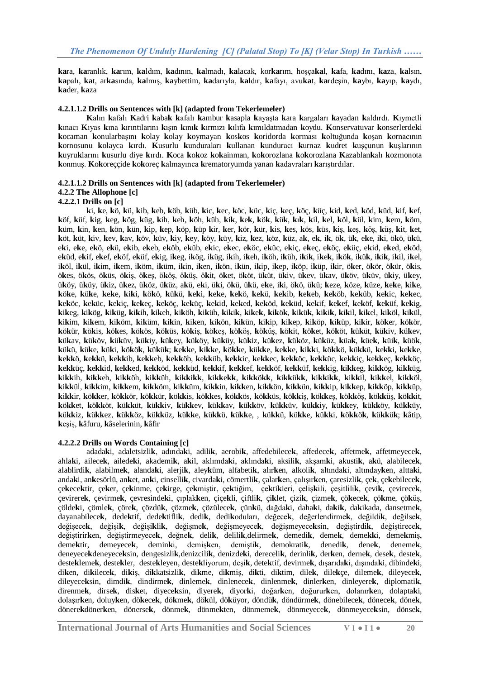**ka**ra, **ka**ranlık, **ka**rım, **ka**ldım, **ka**dının, **ka**lmadı, **ka**lacak, kor**ka**rım, hoşça**ka**l, **ka**fa, **ka**dını, **ka**za, **ka**lsın, **ka**palı, **ka**t, ar**ka**sında, **ka**lmış, **ka**ybettim, **ka**darıyla, **ka**ldır, **ka**fayı, avu**ka**t, **ka**rdeşin, **ka**ybı, **ka**yıp, **ka**ydı, **ka**der, **ka**za

#### **4.2.1.1.2 Drills on Sentences with [k] (adapted from Tekerlemeler)**

**K**alın **k**afalı **K**adri **k**aba**k k**afalı **k**ambur **k**asapla **k**ayaşta **k**ara **k**argaları **k**ayadan **k**aldırdı. **K**ıymetli **k**ınacı **K**ıyas **k**ına **k**ırıntılarını **k**ışın **k**ını**k k**ırmızı **k**ılıfa **k**ımıldatmadan **k**oydu. **K**onservatuvar **k**onserlerde**k**i **k**ocaman **k**onularbaşını **k**olay **k**olay **k**oymayan **k**os**k**os **k**oridorda **k**orması **k**oltuğunda **k**oşan **k**ornacının **k**ornosunu **k**olayca **k**ırdı. **K**usurlu **k**unduraları **k**ullanan **k**unduracı **k**urnaz **k**udret **k**uşçunun **k**uşlarının **k**uyru**k**larını **k**usurlu diye **k**ırdı. **K**oca **k**o**k**oz **k**o**k**ainman, **k**o**k**orozlana **k**o**k**orozlana **K**azablan**k**alı **k**ozmonota **k**onmuş. **K**o**k**oreççide **k**o**k**oreç **k**almayınca **k**rematoryumda yanan **k**adavraları **k**arıştırdılar.

#### **4.2.1.1.2 Drills on Sentences with [k] (adapted from Tekerlemeler)**

## **4.2.2 The Allophone [c]**

#### **4.2.2.1 Drills on [c]**

ki, ke, kö, kü, kib, keb, köb, küb, kic, kec, köc, küc, kic, kec, köc, küc, kid, ked, köd, küd, kif, kef, köf, küf, kig, keg, kög, küg, kih, keh, köh, küh, kik, kek, kök, kük, kık, kil, kel, köl, kül, kim, kem, köm, küm, kin, ken, kön, kün, kip, kep, köp, küp kir, ker, kör, kür, kis, kes, kös, küs, kiş, keş, köş, küş, kit, ket, köt, küt, kiv, kev, kav, köv, küv, kiy, key, köy, küy, kiz, kez, köz, küz, ak, ek, ik, ök, ük, eke, iki, ökö, ükü, eki, eke, ekö, ekü, ekib, ekeb, eköb, eküb, ekic, ekec, eköc, eküc, ekiç, ekeç, eköç, eküç, ekid, eked, eköd, eküd, ekif, ekef, eköf, eküf, ekig, ikeg, ikög, iküg, ikih, ikeh, iköh, iküh, ikik, ikek, ikök, ikük, ikik, ikil, ikel, iköl, ikül, ikim, ikem, iköm, iküm, ikin, iken, ikön, ikün, ikip, ikep, iköp, iküp, ikir, öker, ökör, ökür, ökis, ökes, ökös, öküs, ökiş, ökeş, ököş, öküş, ökit, öket, ököt, üküt, ükiv, ükev, ükav, üköv, üküv, ükiy, ükey, üköy, üküy, ükiz, ükez, üköz, üküz, akü, eki, üki, ökü, ükü, eke, iki, ökö, ükü; keze, köze, küze, keke, kike, köke, küke, keke, kiki, kökö, kükü, keki, keke, kekö, kekü, kekib, kekeb, keköb, keküb, kekic, kekec, keköc, keküc, kekic, kekec, keköc, keküc, kekid, keked, keköd, keküd, kekif, kekef, keköf, keküf, kekig, kikeg, kikög, kiküg, kikih, kikeh, kiköh, kiküh, kikik, kikek, kikök, kikük, kikik, kikil, kikel, kiköl, kikül, kikim, kikem, kiköm, kiküm, kikin, kiken, kikön, kikün, kikip, kikep, kiköp, kiküp, kikir, köker, kökör, kökür, kökis, kökes, kökös, köküs, kökis, kökes, kökös, köküs, kökit, köket, kököt, küküt, kükiv, kükev, kükav, küköv, küküv, kükiy, kükey, küköy, küküy, kükiz, kükez, küköz, küküz, küak, küek, küik, küök, kükü, küke, küki, kökök, kükük; kekke, kikke, kökke, kükke, kekke, kikki, kökkö, kükkü, kekki, kekke, kekkö, kekkü, kekkib, kekkeb, kekköb, kekküb, kekkic, kekkec, kekköc, kekküc, kekkiç, kekkeç, kekköç, kekküç, kekkid, kekked, kekköd, kekküd, kekkif, kekkef, kekköf, kekküf, kekkig, kikkeg, kikkög, kikküg, kikkih, kikkeh, kikköh, kikküh, kikkikk, kikkekk, kikkökk, kikkükk, kikkikk, kikkil, kikkel, kikköl, kikkül, kikkim, kikkem, kikköm, kikküm, kikkin, kikken, kikkön, kikkün, kikkip, kikkep, kikköp, kikküp, kikkir, kökker, kökkör, kökkür, kökkis, kökkes, kökkös, kökküs, kökkis, kökkes, kökkös, kökküs, kökkit, kökket, kökköt, kükküt, kükkiv, kükkev, kükkav, kükköv, kükküv, kükkiv, kükkev, kükköv, kükküv, kükkiz, kükkez, kükköz, kükküz, kükke, kükkü, kükke, , kükkü, kükke, kükki, kökkök, kükkük; kâtip, **k**eşiş, **k**âfuru, **k**âselerinin, **k**âfir

## **4.2.2.2 Drills on Words Containing [c]**

adada**k**i, adaletsizli**k**, adında**k**i, adili**k**, aerobi**k**, affedebilece**k**, affedece**k**, affetme**k**, affetmeyece**k**, ahla**k**i, ailece**k**, ailede**k**i, akademi**k**, a**k**il, aklımda**k**i, aklında**k**i, aksili**k**, akşam**k**i, akusti**k**, a**k**ü, alabilece**k**, alablirdi**k**, alabilme**k**, alanda**k**i, alerji**k**, aley**k**üm, alfabeti**k**, alır**k**en, alkoli**k**, altında**k**i, altınday**k**en, altta**k**i, anda**k**i, an**k**esörlü, an**k**et, an**k**i, cinselli**k**, civarda**k**i, cömertli**k**, çalar**k**en, çalışır**k**en, çaresizli**k**, çe**k**, çe**k**ebilece**k**, çe**k**ece**k**tir, çe**k**er, çe**k**inme, çe**k**irge, çe**k**miştir, çe**k**tiğim, çe**k**ti**k**leri, çeliş**k**ili, çeşitlili**k**, çevi**k**, çevirece**k**, çevirere**k**, çevirme**k**, çevresinde**k**i, çıplak**k**en, çiçe**k**li, çiftli**k**, çi**k**let, çizi**k**, çizme**k**, çö**k**ece**k**, çö**k**me, çö**k**üş, çölde**k**i, çömle**k**, çöre**k**, çözdü**k**, çözme**k**, çözülece**k**, çün**k**ü, dağda**k**i, daha**k**i, da**k**i**k**, da**k**ikada, dansetme**k**, dayanabilece**k**, dede**k**tif, dede**k**tifli**k**, dedi**k**, dedi**k**oduları, değece**k**, değerlendirme**k**, değildi**k**, değilse**k**, değişece**k**, değişi**k**, değişi**k**li**k**, değişme**k**, değişmeyece**k**, değişmeyece**k**sin, değiştirdi**k**, değiştirece**k**, değiştirir**k**en, değiştirmeyece**k**, değne**k**, deli**k**, delili**k**,delirme**k**, demedi**k**, deme**k**, deme**kk**i, deme**k**miş, deme**k**tir, demeyece**k**, demin**k**i, demiş**k**en, demişti**k**, demokrati**k**, denedi**k**, dene**k**, deneme**k**, deneyece**k**deneyece**k**sin, dengesizli**k**,denizcili**k**, denizde**k**i, dereceli**k**, derinli**k**, der**k**en, derne**k**, dese**k**, deste**k**, deste**k**leme**k**, deste**k**ler, deste**k**leyen, deste**k**liyorum, deşi**k**, dete**k**tif, devirme**k**, dışarıda**k**i, dışında**k**i, dibinde**k**i, di**k**en, di**k**ilece**k**, di**k**iş, di**k**katsizli**k**, di**k**me, di**k**miş, di**k**ti, di**k**tim, dile**k**, dile**k**çe, dileme**k**, dileyece**k**, dileyece**k**sin, dimdi**k**, dindirme**k**, dinleme**k**, dinlenece**k**, dinlenme**k**, dinler**k**en, dinleyere**k**, diplomati**k**, direnme**k**, dirse**k**, dis**k**et, diyece**k**sin, diyere**k**, diyor**k**i, doğar**k**en, doğurur**k**en, dolanır**k**en, dolapta**k**i, dolaşır**k**en, doluy**k**en, dö**k**ece**k**, dö**k**me**k**, dö**k**ül, dö**k**üyor, döndü**k**, döndürme**k**, dönebilece**k**, dönece**k**, döne**k**, dönere**k**döner**k**en, dönerse**k**, dönme**k**, dönme**k**ten, dönmeme**k**, dönmeyece**k**, dönmeyece**k**sin, dönse**k**,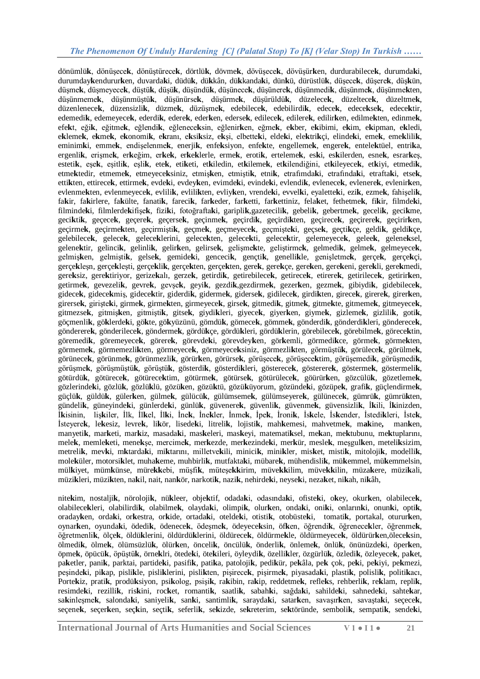dönümlü**k**, dönüşece**k**, dönüştürece**k**, dörtlü**k**, dövme**k**, dövüşece**k**, dövüşür**k**en, durdurabilece**k**, durumda**k**i, durumday**k**endurur**k**en, duvarda**k**i, düdü**k**, dü**k**kân, dü**k**kanda**k**i, dün**k**ü, dürüstlü**k**, düşece**k**, düşere**k**, düş**k**ün, düşme**k**, düşmeyece**k**, düştü**k**, düşü**k**, düşündü**k**, düşünece**k**, düşünere**k**, düşünmedi**k**, düşünme**k**, düşünme**k**ten, düşünmeme**k**, düşünmüştü**k**, düşünürse**k**, düşürme**k**, düşürüldü**k**, düzelece**k**, düzeltece**k**, düzeltme**k**, düzenlenece**k**, düzensizli**k**, düzme**k**, düzüşme**k**, edebilece**k**, edebilirdi**k**, edece**k**, edece**k**se**k**, edece**k**tir, edemedi**k**, edemeyece**k**, ederdi**k**, edere**k**, eder**k**en, ederse**k**, edilece**k**, edilere**k**, edilir**k**en, edilme**k**ten, edinme**k**, efe**k**t, eği**k**, eğitme**k**, eğlendi**k**, eğlenece**k**sin, eğlenir**k**en, eğme**k**, e**k**ber, e**k**ibimi, e**k**im, e**k**ipman, e**k**ledi, eklemek, ekmek, ekonomik, ekranı, eksiksiz, eksi, elbetteki, eldeki, elektrikçi, elindeki, emek, emeklilik, eminim**k**i, emme**k**, endişelenme**k**, enerji**k**, enfe**k**siyon, enfe**k**te, engelleme**k**, engere**k**, entele**k**tüel, entri**k**a, ergenli**k**, erişme**k**, er**k**eğim, er**k**e**k**, er**k**e**k**lerle, erme**k**, eroti**k**, erteleme**k**, es**k**i, es**k**ilerden, esne**k**, esrar**k**eş, esteti**k**, eşe**k**, eşitli**k**, eşli**k**, ete**k**, eti**k**eti, et**k**iledin, et**k**ileme**k**, et**k**ilendiğini, et**k**ileyece**k**, et**k**iyi, etmedi**k**, etme**k**tedir, etmeme**k**, etmeyece**k**siniz, etmiş**k**en, etmişti**k**, etni**k**, etrafımda**k**i, etrafında**k**i, etrafta**k**i, etse**k**, etti**k**ten, ettirece**k**, ettirme**k**, evde**k**i, evdey**k**en, evimde**k**i, evinde**k**i, evlendi**k**, evlenece**k**, evlenere**k**, evlenir**k**en, evlenme**k**ten, evlenmeyece**k**, evlili**k**, evlili**k**ten, evliy**k**en, vrende**k**i, evvel**k**i, eyalette**k**i, ezi**k**, ezme**k**, fahişeli**k**, fa**k**ir, fa**k**irlere, fa**k**ülte, fanati**k**, fareci**k**, far**k**eder, far**k**etti, far**k**ettiniz, fela**k**et, fethetme**k**, fi**k**ir, filmde**k**i, filminde**k**i, filmlerde**k**ifişe**k**, fizi**k**i, fotoğrafta**k**i, garipli**k**,gazetecili**k**, gebeli**k**, gebertme**k**, geceli**k**, geci**k**me, geci**k**ti**k**, geçece**k**, geçere**k**, geçerse**k**, geçinme**k**, geçirdi**k**, geçirdi**k**ten, geçirece**k**, geçirere**k**, geçirir**k**en, geçirme**k**, geçirme**k**ten, geçirmişti**k**, geçme**k**, geçmeyece**k**, geçmişte**k**i, geçse**k**, geçti**k**çe, geldi**k**, geldi**k**çe, gelebilece**k**, gelece**k**, gelece**k**lerini, gelece**k**ten, gelece**k**ti, gelece**k**tir, gelemeyece**k**, gelee**k**, gelene**k**sel, gelene**k**tir, gelinci**k**, gelinli**k**, gelir**k**en, gelirse**k**, gelişme**k**te, geliştirme**k**, gelmedi**k**, gelme**k**, gelmeyece**k**, gelmiş**k**en, gelmişti**k**, gelse**k**, gemide**k**i, genceci**k**, gençti**k**, genelli**k**le, genişletme**k**, gerçe**k**, gerçe**k**çi, gerçe**k**leşn, gerçe**k**leşti, gerçe**k**li**k**, gerçe**k**ten, gerçe**k**ten, gere**k**, gere**k**çe, gere**k**en, gere**k**eni, gere**k**li, gere**k**medi, gere**k**siz, gere**k**tiriyor, gerize**k**alı, gerze**k**, getirdi**k**, getirebilece**k**, getirece**k**, etirere**k**, getirilece**k**, getirir**k**en, getirme**k**, gevezeli**k**, gevre**k**, gevşe**k**, geyi**k**, gezdi**k**,gezdirme**k**, gezer**k**en, gezme**k**, gibiydi**k**, gidebilece**k**, gidece**k**, gidece**k**miş, gidece**k**tir, giderdi**k**, giderme**k**, giderse**k**, gidilece**k**, girdi**k**ten, girece**k**, girere**k**, girer**k**en, girerse**k**, girişte**k**i, girme**k**, girme**k**ten, girmeyece**k**, girse**k**, gitmedi**k**, gitme**k**, gitme**k**te, gitmeme**k**, gitmeyece**k**, gitmezse**k**, gitmiş**k**en, gitmişti**k**, gitse**k**, giydi**k**leri, giyece**k**, giyer**k**en, giyme**k**, gizleme**k**, gizlili**k**, goti**k**, göçmenli**k**, gö**k**lerde**k**i, gö**k**te, gö**k**yüzünü, gömdü**k**, gömece**k**, gömme**k**, gönderdi**k**, gönderdi**k**leri, gönderece**k**, gönderere**k**, gönderilece**k**, gönderme**k**, gördü**k**çe, gördü**k**leri, gördü**k**lerin, görebilece**k**, görebilme**k**, görece**k**tin, göremedi**k**, göremeyece**k**, görere**k**, görevde**k**i, görevdey**k**en, gör**k**emli, görmedi**k**ce, görme**k**, görme**k**ten, görmeme**k**, görmemezli**k**ten, görmeyece**k**, görmeyece**k**siniz, görmezli**k**ten, görmüştü**k**, görülece**k**, görülme**k**, görünece**k**, görünme**k**, görünmezli**k**, görür**k**en, görürse**k**, görüşece**k**, görüşece**k**tim, görüşemedi**k**, görüşmedi**k**, görüşme**k**, görüşmüştü**k**, görüştü**k**, gösterdi**k**, gösterdi**k**leri, gösterece**k**, gösterere**k**, gösterme**k**, göstermeli**k**, götürdü**k**, götürece**k**, götürece**k**tim, götürme**k**, götürse**k**, götürülece**k**, göürür**k**en, gözcülü**k**, gözetleme**k**, gözlerinde**k**i, gözlü**k**, gözlü**k**lü, gözü**k**en, gözü**k**tü, gözü**k**üyorum, gözünde**k**i, gözüpe**k**, grafi**k**, güçlendirme**k**, güçlü**k**, güldü**k**, güler**k**en, gülme**k**, gülücü**k**, gülümseme**k**, gülümseyere**k**, gülünece**k**, gümrü**k**, gümrü**k**ten, gündeli**k**, güneyinde**k**i, günlerde**k**i, günlü**k**, güvenere**k**, güvenli**k**, güvenme**k**, güvensizli**k**, İ**k**ili, İ**k**inizden, İ**k**isinin, liş**k**iler, İlk, İl**k**el, İl**k**i, İne**k**, İne**k**ler, İnme**k**, İpe**k**, İroni**k**, İs**k**ele, İs**k**ender, İstedi**k**leri, İste**k**, İsteyere**k**, le**k**esiz, levre**k**, li**k**ör, lisede**k**i, litreli**k**, lojisti**k**, mah**k**emesi, mahvetme**k**, m**ak**ine**,** man**k**en, manyeti**k**, mar**k**eti, mar**k**iz, masada**k**i, mas**k**eleri, mas**k**eyi, matemati**k**sel, me**k**an, me**k**tubunu, me**k**tuplarını, mele**k**, memle**k**eti, mene**k**şe, mercime**k**, mer**k**ezde, mer**k**ezinde**k**i, mer**k**ür, mesle**k**, meşgul**k**en, meteli**k**sizim, metreli**k**, mev**k**i, m**k**tarda**k**i, mi**k**tarını, milletve**k**ili, minici**k**, mini**k**ler, mis**k**et, misti**k**, mitoloji**k**, modelli**k**, mole**k**üler, motorsi**k**let, muha**k**eme, muhbirli**k**, mutfakta**k**i, mübare**k**, mühendisli**k**, mü**k**emmel, mü**k**emmelsin, mül**k**iyet, müm**k**ünse, müre**kk**ebi, müşfi**k**, müteşe**kk**irim, müve**kk**ilim, müve**kk**ilin, müza**k**ere, müzi**k**ali, müzi**k**leri, müzi**k**ten, na**k**il, nait, nan**k**ör, narkoti**k**, nazi**k**, nehirde**k**i, neyse**k**i, neza**k**et, ni**k**ah, ni**k**âh,

nite**k**im, nostalji**k**, nöroloji**k**, nü**k**leer, obje**k**tif, odada**k**i, odasında**k**i, ofiste**k**i, o**k**ey, okur**k**en, olabilece**k**, olabilece**k**leri, olabilirdi**k**, olabilme**k**, olayda**k**i, olimpi**k**, olur**k**en, onda**k**i, oni**k**i, onların**k**i, onun**k**i, opti**k**, oraday**k**en, orda**k**i, or**k**estra, or**k**ide, ortada**k**i, otelde**k**i, otisti**k**, otobüste**k**i, tomati**k**, portakal, oturur**k**en, oynar**k**en, oyunda**k**i, ödedi**k**, ödenece**k**, ödeşme**k**, ödeyece**k**sin, öf**k**en, öğrendi**k**, öğrenece**k**ler, öğrenme**k**, öğretmenli**k**, ölçe**k**, öldü**k**lerini, öldürdü**k**lerini, öldürece**k**, öldürme**k**le, öldürmeyece**k**, öldürür**k**en,ölece**k**sin, ölmedi**k**, ölme**k**, ölümsüzlü**k**, ölür**k**en, önceli**k**, öncülü**k**, önderli**k**, önleme**k**, önlü**k**, önünüzde**k**i, öper**k**en, öpme**k**, öpücü**k**, öpüştü**k**, örne**k**lri, ötede**k**i, öte**k**ileri, öyleydi**k**, özelli**k**ler, özgürlü**k**, özledi**k**, özleyece**k**, pa**k**et, pa**k**etler, pani**k**, parktai, partide**k**i, pasifi**k**, pati**k**a, patoloji**k**, pedi**k**ür, pe**k**âla, pe**k** çok, pe**k**i, pe**k**iyi, pe**k**mezi, peşinde**k**i, pi**k**ap, pisli**k**le, pisli**k**lerini, pisli**k**ten, pişirece**k**, pişirme**k**, piyasada**k**i, plasti**k**, polisli**k**, politi**k**acı, Porte**k**iz, prati**k**, prodü**k**siyon, psi**k**olog, psişi**k**, ra**k**ibin, ra**k**ip, reddetme**k**, refle**k**s, rehberli**k**, re**k**lam, repli**k**, resimde**k**i, rezilli**k**, ris**k**ini, roc**k**et, romanti**k**, saatli**k**, sabah**k**i, sağda**k**i, sahilde**k**i, sahnede**k**i, sahte**k**ar, sa**k**inleşme**k**, salonda**k**i, saniyeli**k**, san**k**i, santimli**k**, sarayda**k**i, satar**k**en, savaşır**k**en, savaşta**k**i, seçece**k**, seçene**k**, seçer**k**en, seç**k**in, seçti**k**, seferli**k**, se**k**izde, se**k**reterim, se**k**töründe, semboli**k**, sempati**k**, sende**k**i,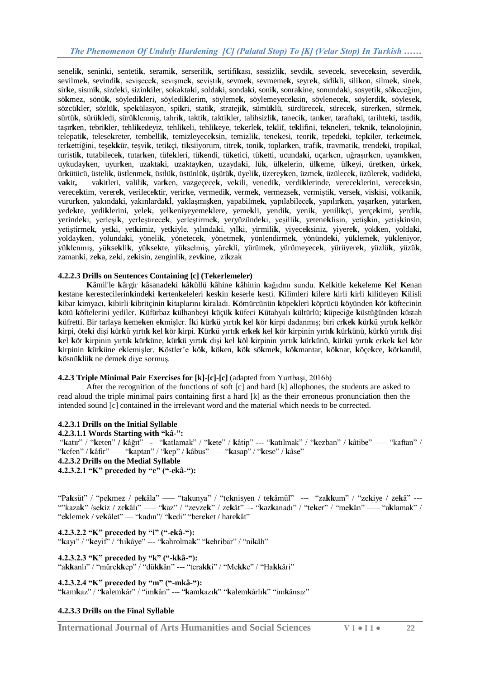seneli**k**, senin**k**i, senteti**k**, serami**k**, serserili**k**, sertifi**k**ası, sessizli**k**, sevdi**k**, sevece**k**, sevece**k**sin, severdi**k**, sevilme**k**, sevindi**k**, sevişece**k**, sevişme**k**, sevişti**k**, sevme**k**, sevmeme**k**, seyre**k**, sidi**k**li, sili**k**on, silme**k**, sine**k**, sir**k**e, sismi**k**, sizde**k**i, sizin**k**iler, sokakta**k**i, solda**k**i, sonda**k**i, soni**k**, sonra**k**ine, sonunda**k**i, sosyeti**k**, sö**k**eceğim, sö**k**mez, sönü**k**, söyledi**k**leri, söyledi**k**lerim, söyleme**k**, söylemeyece**k**sin, söylenece**k**, söylerdi**k**, söylese**k**, sözcü**k**ler, sözlü**k**, spe**k**ülasyon, spi**k**ri, stati**k**, strateji**k**, sümü**k**lü, sürdürece**k**, sürece**k**, sürer**k**en, sürme**k**, sürtü**k**, sürü**k**ledi, sürü**k**lenmiş, tahri**k**, takti**k**, takti**k**ler, talihsizli**k**, taneci**k**, tan**k**er, tarafta**k**i, tarihte**k**i, tasdi**k**, taşır**k**en, tebri**k**ler, tehli**k**edeyiz, tehli**k**eli, tehli**k**eye, te**k**erle**k**, te**k**lif, te**k**lifini, te**k**neleri, te**k**ni**k**, te**k**nolojinin, telepati**k**, telese**k**reter, tembelli**k**, temizleyece**k**sin, temizli**k**, tene**k**esi, teori**k**, tepede**k**i, tep**k**iler, ter**k**etme**k**, ter**k**ettiğini, teşe**kk**ür, teşvi**k**, teti**k**çi, ti**k**siiyorum, titre**k**, toni**k**, toplar**k**en, trafi**k**, travmati**k**, trende**k**i, tropi**k**al, turisti**k**, tutabilece**k**, tutar**k**en, tüfe**k**leri, tü**k**endi, tü**k**etici, tü**k**etti, ucunda**k**i, uçar**k**en, uğraşır**k**en, uyanık**k**en, uykuday**k**en, uyur**k**en, uzakta**k**i, uzaktay**k**en, uzayda**k**i, lü**k**, ül**k**elerin, ül**k**eme, ül**k**eyi, üret**k**en, ür**k**e**k**, ür**k**ütücü, üsteli**k**, üstlenme**k**, üstlü**k**, üstünlü**k**, üşütü**k**, üyeli**k**, üzerey**k**en, üzme**k**, üzülece**k**, üzülere**k**, vadide**k**i, v**ak**it**,** va**k**itleri, valili**k**, var**k**en, vazgeçece**k**, ve**k**ili, venedi**k**, verdi**k**lerinde, verece**k**lerini, verece**k**sin, verece**k**tim, verere**k**, verilece**k**tir, verir**k**e, vermedi**k**, verme**k**, vermezse**k**, vermişti**k**, verse**k**, vis**k**isi, volkani**k**, vurur**k**en, yakında**k**i, yakınlarda**k**İ, yaklaşmış**k**en, yapabilme**k**, yapılabilece**k**, yapılır**k**en, yaşar**k**en, yatar**k**en, yede**k**te, yedi**k**lerini, yele**k**, yel**k**eniyeyeme**k**lere, yeme**k**li, yendi**k**, yeni**k**, yenili**k**çi, yerçe**k**imi, yerdi**k**, yerinde**k**i, yerleşi**k**, yerleştirece**k**, yerleştirme**k**, yeryüzünde**k**i, yeşilli**k**, yetene**k**lisin, yetiş**k**in, yetiş**k**insin, yetiştirme**k**, yet**k**i, yet**k**imiz, yet**k**iyle, yılında**k**i, yıl**k**i, yirmili**k**, yiyece**k**siniz, yiyere**k**, yok**k**en, yolda**k**i, yolday**k**en, yolunda**k**i, yöneli**k**, yönetece**k**, yönetme**k**, yönlendirme**k**, yönünde**k**i, yü**k**leme**k**, yü**k**leniyor, yü**k**lenmiş, yü**k**se**k**li**k**, yü**k**se**k**te, yü**k**selmiş, yüre**k**li, yürüme**k**, yürümeyece**k**, yürüyere**k**, yüzlü**k**, yüzü**k**, zaman**k**i, ze**k**a, ze**k**i, ze**k**isin, zenginli**k**, zev**k**ine, zi**k**zak

#### **4.2.2.3 Drills on Sentences Containing [c] (Tekerlemeler)**

**K**âmil'le **k**ârgir **k**âsanade**k**i **k**â**k**üllü **k**âhine **k**âhinin **k**ağıdını sundu. **K**el**k**itle **k**e**k**eleme **K**el **K**enan kestane kerestecilerinkindeki kertenkeleleri keskin keserle kesti. Kilimleri kilere kirli kirli kilitleyen Kilisli **k**ibar **k**imyacı, **k**ibirli **k**ibritçinin **k**itaplarını **k**iraladı. **K**ömürcünün **k**öpe**k**leri **k**öprücü **k**öyünden **k**ör **k**öftecinin **k**ötü **k**öftelerini yediler. **K**üfürbaz **k**ülhanbeyi **k**üçü**k k**üfeci **K**ütahyalı **k**ültürlü; **k**üpeciğe **k**üstüğünden **k**üstah küfretti. Bir tarlaya kemeken ekmişler. İki kürkü yırtık kel kör kirpi dadanmış; biri erkek kürkü yırtık kelkör kirpi, öteki dişi kürkü yırtık kel kör kirpi. Kürkü yırtık erkek kel kör kirpinin yırtık kürkünü, kürkü yırtık dişi kel kör kirpinin yırtık kürküne, kürkü yırtık dişi kel köl kirpinin yırtık kürkünü, kürkü yırtık erkek kel kör kirpinin kürküne eklemisler. Köstler'e kök, köken, kök sökmek, kökmantar, köknar, köcekce, körkandil, **k**ösnü**k**lü**k** ne deme**k** diye sormuş.

#### **4.2.3 Triple Minimal Pair Exercises for [k]-[c]-[c]** (adapted from Yurtbası, 2016b)

After the recognition of the functions of soft [c] and hard [k] allophones, the students are asked to read aloud the triple minimal pairs containing first a hard [k] as the their erroneous pronunciation then the intended sound [c] contained in the irrelevant word and the material which needs to be corrected.

#### **4.2.3.1 Drills on the Initial Syllable**

#### **4.2.3.1.1 Words Starting with "kâ-":**

"**k**atır" / "**k**eten" **/ k**âğıt" –-– "**k**atlamak" / "**k**ete" / **k**âtip" --- "**k**atılmak" / "**k**ezban" / **k**âtibe" ––– "kaftan" / "**k**efen" / **k**âfir" ––– "**k**aptan" / "**k**ep" / **k**âbus" ––– "**k**asap" / "**k**ese" / **k**âse"

#### **4.2.3.2 Drills on the Medial Syllable**

**4.2.3.2.1 "K" preceded by "e" ("-ekâ-"):**

"Pa**k**süt" / "pe**k**mez / pe**k**âla" ––– "ta**k**unya" / "te**k**nisyen / te**k**âmül" --- "za**kk**um" / "ze**k**iye / ze**k**â" --- ""kaza**k**" /se**k**iz / ze**k**âlı" ––– "**k**az" / "zevze**k**" / ze**k**ât" –- "**k**az**k**anadı" / "te**k**er" / "me**k**ân" ––– "a**k**lamak" / "e**k**lemek / ve**k**âlet" –– "kadın"/ "**k**edi" "bere**k**et / hare**k**ât"

#### **4.2.3.2.2 "K" preceded by "i" ("-ekâ-"):**

"**k**ayı" / "**k**eyif" / "hi**k**âye" --- "**k**ahrolma**k**" "**k**ehribar" / "ni**k**âh"

**4.2.3.2.3 "K" preceded by "k" ("-kkâ-"):** "a**kk**anlı" / "müre**kk**ep" / "dü**kk**ân" --- "tera**kk**i" / "Me**kk**e" / "Ha**kk**âri"

**4.2.3.2.4 "K" preceded by "m" ("-mkâ-"):** "**k**am**k**az" / "**k**alem**k**âr" / "im**k**ân" --- "**k**am**k**azı**k**" "**k**alem**k**ârlı**k**" "im**k**ânsız"

#### **4.2.3.3 Drills on the Final Syllable**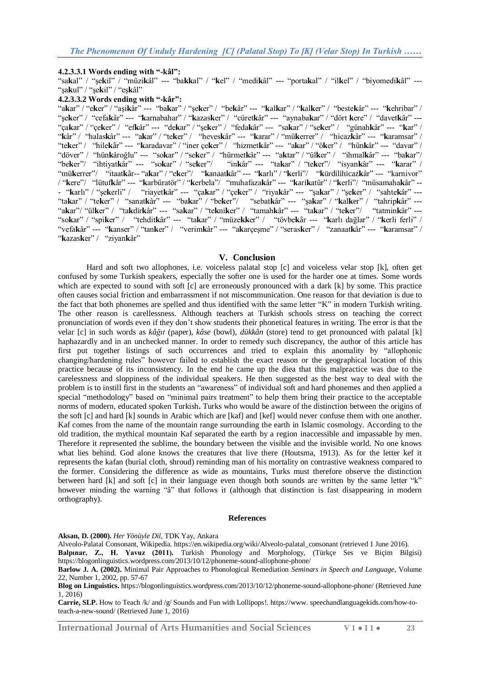#### **4.2.3.3.1 Words ending with "-kâl":**

"sa**k**al" / "şe**k**il" / "müzi**k**âl" --- "ba**kk**al" / "**k**el" / "medi**k**âl" --- "porta**k**al" / "il**k**el" / "biyomedi**k**âl" --- "şa**k**ul" / "şe**k**il" / "eş**k**âl"

#### **4.2.3.3.2 Words ending with "-kâr":**

"a**k**ar" / "e**k**er" / "aşi**k**âr" --- "ba**k**ar" / "şe**k**er" / "be**k**âr" --- "**k**al**k**ar" / "**k**al**k**er" / "beste**k**âr" --- "**k**ehribar" / "şe**k**er" / "cefa**k**âr" --- "**k**arnabahar" / "**k**azas**k**er" / "cüret**k**âr" --- "aynaba**k**ar" / "dört **k**ere" / "davet**k**âr" --- "ça**k**ar" / "çe**k**er" / "ef**k**âr" --- "de**k**ar" / "şe**k**er" / "feda**k**âr" --- "sa**k**ar" / "se**k**er" / "günah**k**âr" --- "**k**ar" / "**k**âr" / "halas**k**âr" --- "a**k**ar" / "te**k**er" / "heves**k**âr" --- "**k**arar" / "mü**k**errer" / "hicaz**k**âr" --- "**k**aramsar" / "te**k**er" / "hile**k**âr" --- "**k**aradavar" / "iner çe**k**er" / "hizmet**k**âr" --- "a**k**ar" / "ö**k**er" / "hün**k**âr" --- "davar" / "döver" / "hün**k**âroğlu" --- "so**k**ar" / "se**k**er" / "hürmet**k**âr" --- "a**k**tar" / "ül**k**er" / "ihmal**k**âr" --- "ba**k**ar"/ "be**k**er"/ "ihtiyat**k**âr" --- "so**k**ar" / "se**k**er"/ "in**k**âr" --- "ta**k**ar" / "te**k**er"/ "isyan**k**âr" --- "**k**arar" / "mü**k**errer"/ "itaat**k**âr-- "a**k**ar" / "e**k**er"/ "**k**anaat**k**âr" --- "**k**arlı" / "**k**erli"/ "**k**ürdilihicaz**k**âr" --- "karnivor" / "**k**ere"/ "lütuf**k**âr" --- "**k**arbüratör" / "**k**erbela"/ "muhafaza**k**âr" --- "**k**ari**k**atür" / "**k**erli"/ "müsamaha**k**âr" -- - "**k**arlı" / "şe**k**erli" / "riayet**k**âr" --- "ça**k**ar" / "çe**k**er" / "riya**k**âr" --- "şa**k**ar" / "şe**k**er" / "sahte**k**âr" --- "ta**k**ar" / "te**k**er" / "sanat**k**âr" --- "ba**k**ar" / "be**k**er"/ "sebat**k**âr" --- "şa**k**ar" / "**k**al**k**er" / "tahrip**k**âr" --- "a**k**ar"/ "ül**k**er" / "ta**k**dir**k**âr" --- "sa**k**ar" / "te**k**ni**k**er" / "tamah**k**âr" --- "ta**k**ar" / "te**k**er"/ "tatmin**k**âr" --- "so**k**ar" / "spi**k**er" / "tehdit**k**âr" --- "ta**k**ar" / "müze**kk**er" / "tövbe**k**âr --- "**k**arlı dağlar" / "**k**erli ferli" / "vefa**k**âr" --- "**k**anser" / "tan**k**er" / "verim**k**âr" --- "a**k**arçeşme" / "seras**k**er" / "zanaat**k**âr" --- "**k**aramsar" / "**k**azas**k**er" / "ziyan**k**âr"

#### **V. Conclusion**

Hard and soft two allophones, i.e. voiceless palatal stop [c] and voiceless velar stop [k], often get confused by some Turkish speakers, especially the softer one is used for the harder one at times. Some words which are expected to sound with soft [c] are erroneously pronounced with a dark [k] by some. This practice often causes social friction and embarrassment if not miscommunication. One reason for that deviation is due to the fact that both phonemes are spelled and thus identified with the same letter "K" in modern Turkish writing. The other reason is carellessness. Although teachers at Turkish schools stress on teaching the correct pronunciation of words even if they don't show students their phonetical features in writing. The error is that the velar [c] in such words as *kâğıt* (paper), *kâse* (bowl), *dükkân* (store) tend to get pronounced with palatal [k] haphazardly and in an unchecked manner. In order to remedy such discrepancy, the author of this article has first put together listings of such occurrences and tried to explain this anomality by "allophonic changing/hardening rules" however failed to establish the exact reason or the geographical location of this practice because of its inconsistency. In the end he came up the diea that this malpractice was due to the carelessness and sloppiness of the individual speakers. He then suggested as the best way to deal with the problem is to instill first in the students an "awareness" of individual soft and hard phonemes and then applied a special "methodology" based on "minimal pairs treatment" to help them bring their practice to the acceptable norms of modern, educated spoken Turkish**.** Turks who would be aware of the distinction between the origins of the soft [c] and hard [k] sounds in Arabic which are [kaf] and [kef] would never confuse them with one another. Kaf comes from the name of the mountain range surrounding the earth in Islamic cosmology. According to the old tradition, the mythical mountain Kaf separated the earth by a region inaccessible and impassable by men. Therefore it represented the sublime, the boundary between the visible and the invisible world. No one knows what lies behind. God alone knows the creatures that live there (Houtsma, 1913). As for the letter kef it represents the kafan (burial cloth, shroud) reminding man of his mortality on contrastive weakness compared to the former. Considering the difference as wide as mountains, Turks must therefore observe the distinction between hard [k] and soft [c] in their language even though both sounds are written by the same letter "k" however minding the warning "â" that follows it (although that distinction is fast disappearing in modern orthography).

#### **References**

**Aksan, D. (2000).** *Her Yönüyle Dil*, TDK Yay, Ankara

Alveolo-Palatal Consonant, Wikipedia[. https://en.wikipedia.org/wiki/Alveolo-palatal\\_consonant](https://en.wikipedia.org/wiki/Alveolo-palatal_consonant) (retrieved 1 June 2016).

**Balpınar, Z., H. Yavuz (2011).** Turkish Phonology and Morphology, (Türkçe Ses ve Biçim Bilgisi) https://blogonlinguistics.wordpress.com/2013/10/12/phoneme-sound-allophone-phone/

**Barlow J. A. (2002).** Minimal Pair Approaches to Phonological Remediation *Seminars in Speech and Language,* Volume 22, Number 1, 2002, pp. 57-67

**Blog on Linguistics.** <https://blogonlinguistics.wordpress.com/2013/10/12/phoneme-sound-allophone-phone/> (Retrieved June 1, 2016)

**Carrie, SLP.** How to Teach /k/ and /g/ Sounds [and Fun with Lollipops!.](https://www.youtube.com/watch?v=megGv7jH0a0) https://www. speechandlanguagekids.com/how-toteach-a-new-sound/ (Retrieved June 1, 2016)